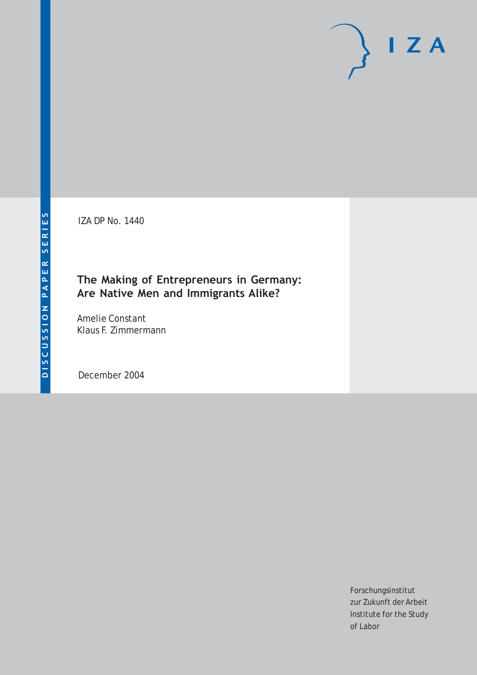# $I Z A$

IZA DP No. 1440

# **The Making of Entrepreneurs in Germany: Are Native Men and Immigrants Alike?**

Amelie Constant Klaus F. Zimmermann

December 2004

Forschungsinstitut zur Zukunft der Arbeit Institute for the Study of Labor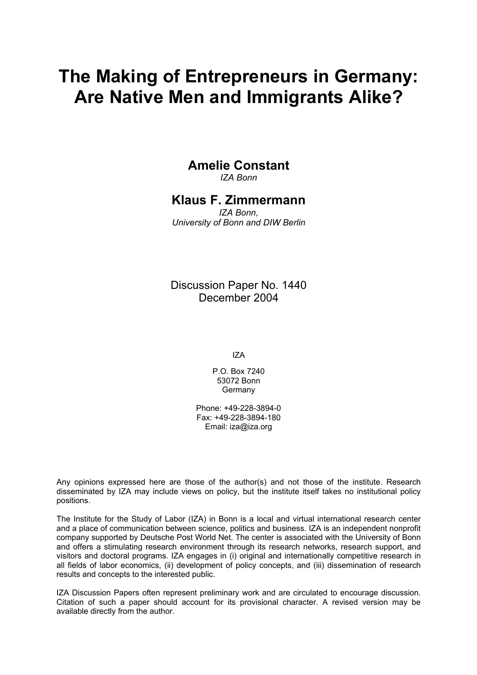# **The Making of Entrepreneurs in Germany: Are Native Men and Immigrants Alike?**

# **Amelie Constant**

*IZA Bonn* 

## **Klaus F. Zimmermann**

*IZA Bonn, University of Bonn and DIW Berlin*

Discussion Paper No. 1440 December 2004

IZA

P.O. Box 7240 53072 Bonn **Germany** 

Phone: +49-228-3894-0 Fax: +49-228-3894-180 Email: [iza@iza.org](mailto:iza@iza.org)

Any opinions expressed here are those of the author(s) and not those of the institute. Research disseminated by IZA may include views on policy, but the institute itself takes no institutional policy positions.

The Institute for the Study of Labor (IZA) in Bonn is a local and virtual international research center and a place of communication between science, politics and business. IZA is an independent nonprofit company supported by Deutsche Post World Net. The center is associated with the University of Bonn and offers a stimulating research environment through its research networks, research support, and visitors and doctoral programs. IZA engages in (i) original and internationally competitive research in all fields of labor economics, (ii) development of policy concepts, and (iii) dissemination of research results and concepts to the interested public.

IZA Discussion Papers often represent preliminary work and are circulated to encourage discussion. Citation of such a paper should account for its provisional character. A revised version may be available directly from the author.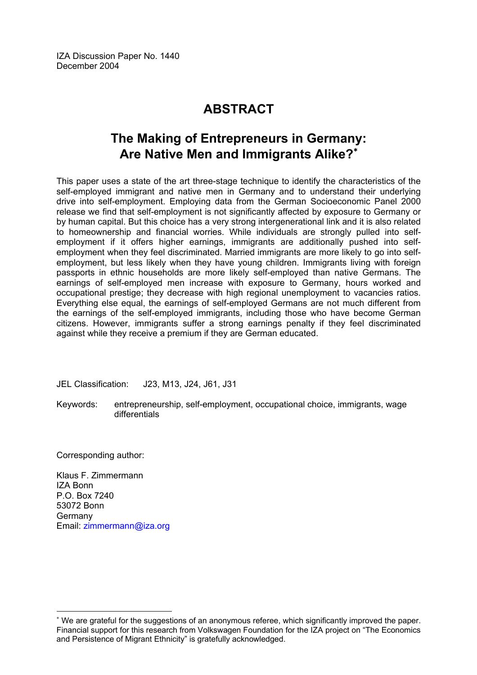# **ABSTRACT**

# **The Making of Entrepreneurs in Germany: Are Native Men and Immigrants Alike?**[∗](#page-2-0)

This paper uses a state of the art three-stage technique to identify the characteristics of the self-employed immigrant and native men in Germany and to understand their underlying drive into self-employment. Employing data from the German Socioeconomic Panel 2000 release we find that self-employment is not significantly affected by exposure to Germany or by human capital. But this choice has a very strong intergenerational link and it is also related to homeownership and financial worries. While individuals are strongly pulled into selfemployment if it offers higher earnings, immigrants are additionally pushed into selfemployment when they feel discriminated. Married immigrants are more likely to go into selfemployment, but less likely when they have young children. Immigrants living with foreign passports in ethnic households are more likely self-employed than native Germans. The earnings of self-employed men increase with exposure to Germany, hours worked and occupational prestige; they decrease with high regional unemployment to vacancies ratios. Everything else equal, the earnings of self-employed Germans are not much different from the earnings of the self-employed immigrants, including those who have become German citizens. However, immigrants suffer a strong earnings penalty if they feel discriminated against while they receive a premium if they are German educated.

JEL Classification: J23, M13, J24, J61, J31

Keywords: entrepreneurship, self-employment, occupational choice, immigrants, wage differentials

Corresponding author:

 $\overline{a}$ 

Klaus F. Zimmermann IZA Bonn P.O. Box 7240 53072 Bonn Germany Email: [zimmermann@iza.org](mailto:zimmermann@iza.org)

<span id="page-2-0"></span><sup>∗</sup> We are grateful for the suggestions of an anonymous referee, which significantly improved the paper. Financial support for this research from Volkswagen Foundation for the IZA project on "The Economics and Persistence of Migrant Ethnicity" is gratefully acknowledged.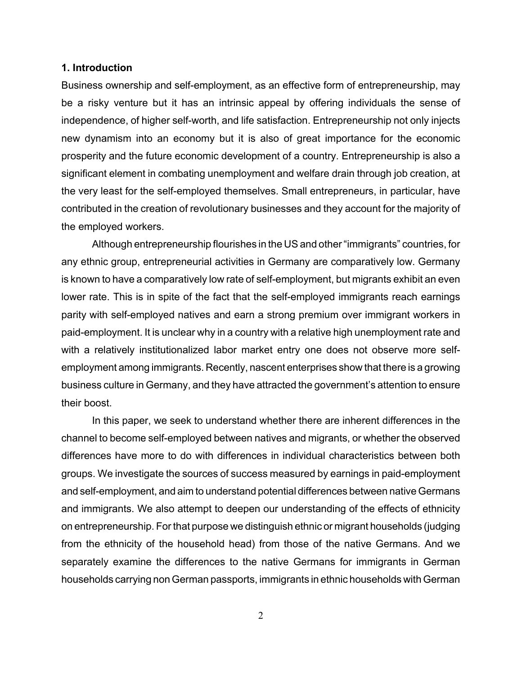### **1. Introduction**

Business ownership and self-employment, as an effective form of entrepreneurship, may be a risky venture but it has an intrinsic appeal by offering individuals the sense of independence, of higher self-worth, and life satisfaction. Entrepreneurship not only injects new dynamism into an economy but it is also of great importance for the economic prosperity and the future economic development of a country. Entrepreneurship is also a significant element in combating unemployment and welfare drain through job creation, at the very least for the self-employed themselves. Small entrepreneurs, in particular, have contributed in the creation of revolutionary businesses and they account for the majority of the employed workers.

Although entrepreneurship flourishes in the US and other "immigrants" countries, for any ethnic group, entrepreneurial activities in Germany are comparatively low. Germany is known to have a comparatively low rate of self-employment, but migrants exhibit an even lower rate. This is in spite of the fact that the self-employed immigrants reach earnings parity with self-employed natives and earn a strong premium over immigrant workers in paid-employment. It is unclear why in a country with a relative high unemployment rate and with a relatively institutionalized labor market entry one does not observe more selfemployment among immigrants. Recently, nascent enterprises show that there is a growing business culture in Germany, and they have attracted the government's attention to ensure their boost.

In this paper, we seek to understand whether there are inherent differences in the channel to become self-employed between natives and migrants, or whether the observed differences have more to do with differences in individual characteristics between both groups. We investigate the sources of success measured by earnings in paid-employment and self-employment, and aim to understand potential differences between native Germans and immigrants. We also attempt to deepen our understanding of the effects of ethnicity on entrepreneurship. For that purpose we distinguish ethnic or migrant households (judging from the ethnicity of the household head) from those of the native Germans. And we separately examine the differences to the native Germans for immigrants in German households carrying non German passports, immigrants in ethnic households with German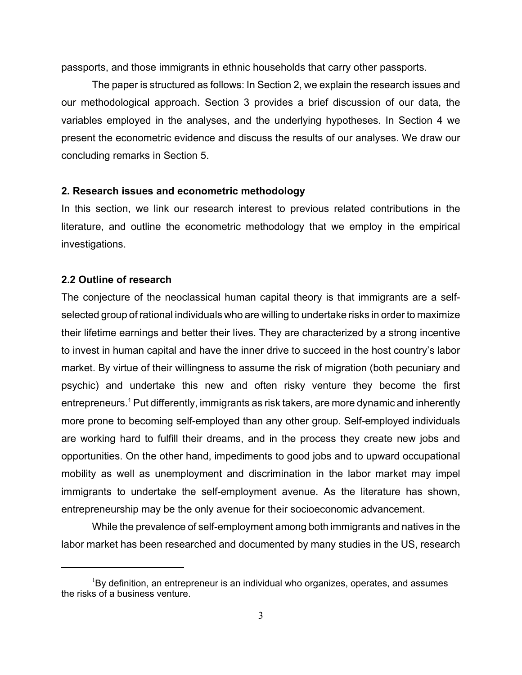passports, and those immigrants in ethnic households that carry other passports.

The paper is structured as follows: In Section 2, we explain the research issues and our methodological approach. Section 3 provides a brief discussion of our data, the variables employed in the analyses, and the underlying hypotheses. In Section 4 we present the econometric evidence and discuss the results of our analyses. We draw our concluding remarks in Section 5.

### **2. Research issues and econometric methodology**

In this section, we link our research interest to previous related contributions in the literature, and outline the econometric methodology that we employ in the empirical investigations.

### **2.2 Outline of research**

The conjecture of the neoclassical human capital theory is that immigrants are a selfselected group of rational individuals who are willing to undertake risks in order to maximize their lifetime earnings and better their lives. They are characterized by a strong incentive to invest in human capital and have the inner drive to succeed in the host country's labor market. By virtue of their willingness to assume the risk of migration (both pecuniary and psychic) and undertake this new and often risky venture they become the first entrepreneurs.<sup>1</sup> Put differently, immigrants as risk takers, are more dynamic and inherently more prone to becoming self-employed than any other group. Self-employed individuals are working hard to fulfill their dreams, and in the process they create new jobs and opportunities. On the other hand, impediments to good jobs and to upward occupational mobility as well as unemployment and discrimination in the labor market may impel immigrants to undertake the self-employment avenue. As the literature has shown, entrepreneurship may be the only avenue for their socioeconomic advancement.

While the prevalence of self-employment among both immigrants and natives in the labor market has been researched and documented by many studies in the US, research

<sup>&</sup>lt;sup>1</sup>By definition, an entrepreneur is an individual who organizes, operates, and assumes the risks of a business venture.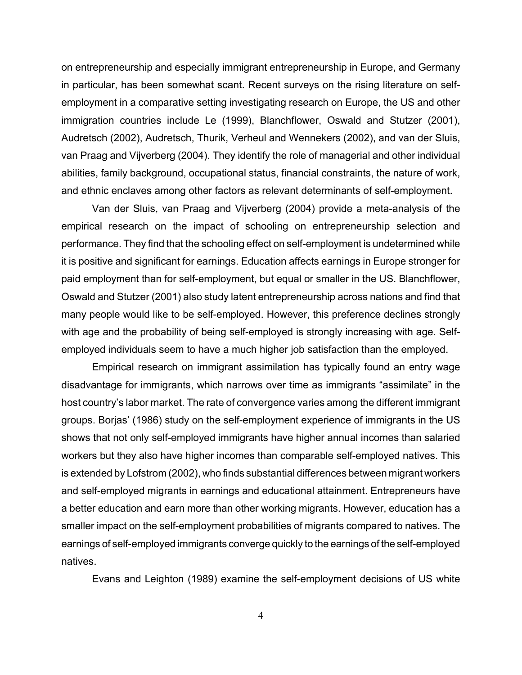on entrepreneurship and especially immigrant entrepreneurship in Europe, and Germany in particular, has been somewhat scant. Recent surveys on the rising literature on selfemployment in a comparative setting investigating research on Europe, the US and other immigration countries include Le (1999), Blanchflower, Oswald and Stutzer (2001), Audretsch (2002), Audretsch, Thurik, Verheul and Wennekers (2002), and van der Sluis, van Praag and Vijverberg (2004). They identify the role of managerial and other individual abilities, family background, occupational status, financial constraints, the nature of work, and ethnic enclaves among other factors as relevant determinants of self-employment.

Van der Sluis, van Praag and Vijverberg (2004) provide a meta-analysis of the empirical research on the impact of schooling on entrepreneurship selection and performance. They find that the schooling effect on self-employment is undetermined while it is positive and significant for earnings. Education affects earnings in Europe stronger for paid employment than for self-employment, but equal or smaller in the US. Blanchflower, Oswald and Stutzer (2001) also study latent entrepreneurship across nations and find that many people would like to be self-employed. However, this preference declines strongly with age and the probability of being self-employed is strongly increasing with age. Selfemployed individuals seem to have a much higher job satisfaction than the employed.

Empirical research on immigrant assimilation has typically found an entry wage disadvantage for immigrants, which narrows over time as immigrants "assimilate" in the host country's labor market. The rate of convergence varies among the different immigrant groups. Borjas' (1986) study on the self-employment experience of immigrants in the US shows that not only self-employed immigrants have higher annual incomes than salaried workers but they also have higher incomes than comparable self-employed natives. This is extended by Lofstrom (2002), who finds substantial differences between migrant workers and self-employed migrants in earnings and educational attainment. Entrepreneurs have a better education and earn more than other working migrants. However, education has a smaller impact on the self-employment probabilities of migrants compared to natives. The earnings of self-employed immigrants converge quickly to the earnings of the self-employed natives.

Evans and Leighton (1989) examine the self-employment decisions of US white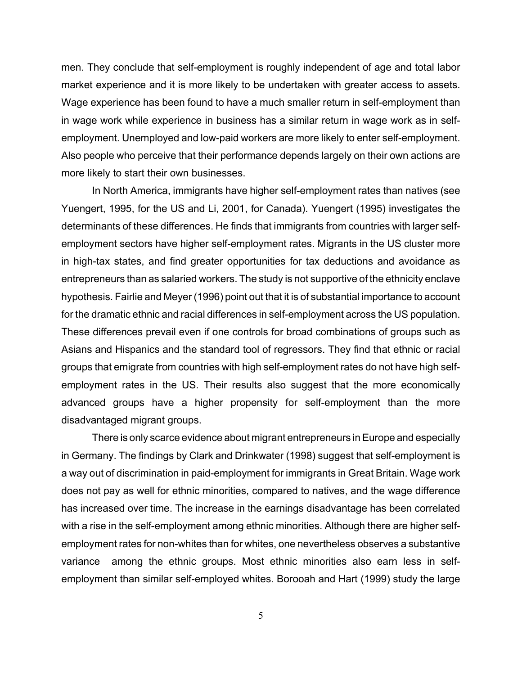men. They conclude that self-employment is roughly independent of age and total labor market experience and it is more likely to be undertaken with greater access to assets. Wage experience has been found to have a much smaller return in self-employment than in wage work while experience in business has a similar return in wage work as in selfemployment. Unemployed and low-paid workers are more likely to enter self-employment. Also people who perceive that their performance depends largely on their own actions are more likely to start their own businesses.

In North America, immigrants have higher self-employment rates than natives (see Yuengert, 1995, for the US and Li, 2001, for Canada). Yuengert (1995) investigates the determinants of these differences. He finds that immigrants from countries with larger selfemployment sectors have higher self-employment rates. Migrants in the US cluster more in high-tax states, and find greater opportunities for tax deductions and avoidance as entrepreneurs than as salaried workers. The study is not supportive of the ethnicity enclave hypothesis. Fairlie and Meyer (1996) point out that it is of substantial importance to account for the dramatic ethnic and racial differences in self-employment across the US population. These differences prevail even if one controls for broad combinations of groups such as Asians and Hispanics and the standard tool of regressors. They find that ethnic or racial groups that emigrate from countries with high self-employment rates do not have high selfemployment rates in the US. Their results also suggest that the more economically advanced groups have a higher propensity for self-employment than the more disadvantaged migrant groups.

There is only scarce evidence about migrant entrepreneurs in Europe and especially in Germany. The findings by Clark and Drinkwater (1998) suggest that self-employment is a way out of discrimination in paid-employment for immigrants in Great Britain. Wage work does not pay as well for ethnic minorities, compared to natives, and the wage difference has increased over time. The increase in the earnings disadvantage has been correlated with a rise in the self-employment among ethnic minorities. Although there are higher selfemployment rates for non-whites than for whites, one nevertheless observes a substantive variance among the ethnic groups. Most ethnic minorities also earn less in selfemployment than similar self-employed whites. Borooah and Hart (1999) study the large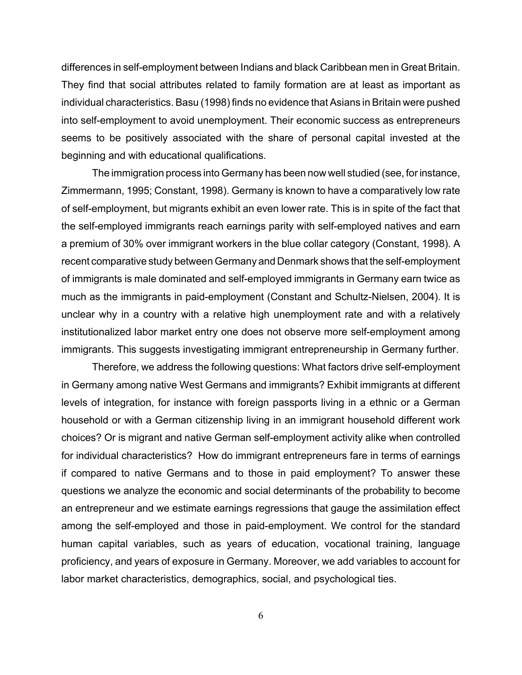differences in self-employment between Indians and black Caribbean men in Great Britain. They find that social attributes related to family formation are at least as important as individual characteristics. Basu (1998) finds no evidence that Asians in Britain were pushed into self-employment to avoid unemployment. Their economic success as entrepreneurs seems to be positively associated with the share of personal capital invested at the beginning and with educational qualifications.

The immigration process into Germany has been now well studied (see, for instance, Zimmermann, 1995; Constant, 1998). Germany is known to have a comparatively low rate of self-employment, but migrants exhibit an even lower rate. This is in spite of the fact that the self-employed immigrants reach earnings parity with self-employed natives and earn a premium of 30% over immigrant workers in the blue collar category (Constant, 1998). A recent comparative study between Germany and Denmark shows that the self-employment of immigrants is male dominated and self-employed immigrants in Germany earn twice as much as the immigrants in paid-employment (Constant and Schultz-Nielsen, 2004). It is unclear why in a country with a relative high unemployment rate and with a relatively institutionalized labor market entry one does not observe more self-employment among immigrants. This suggests investigating immigrant entrepreneurship in Germany further.

Therefore, we address the following questions: What factors drive self-employment in Germany among native West Germans and immigrants? Exhibit immigrants at different levels of integration, for instance with foreign passports living in a ethnic or a German household or with a German citizenship living in an immigrant household different work choices? Or is migrant and native German self-employment activity alike when controlled for individual characteristics? How do immigrant entrepreneurs fare in terms of earnings if compared to native Germans and to those in paid employment? To answer these questions we analyze the economic and social determinants of the probability to become an entrepreneur and we estimate earnings regressions that gauge the assimilation effect among the self-employed and those in paid-employment. We control for the standard human capital variables, such as years of education, vocational training, language proficiency, and years of exposure in Germany. Moreover, we add variables to account for labor market characteristics, demographics, social, and psychological ties.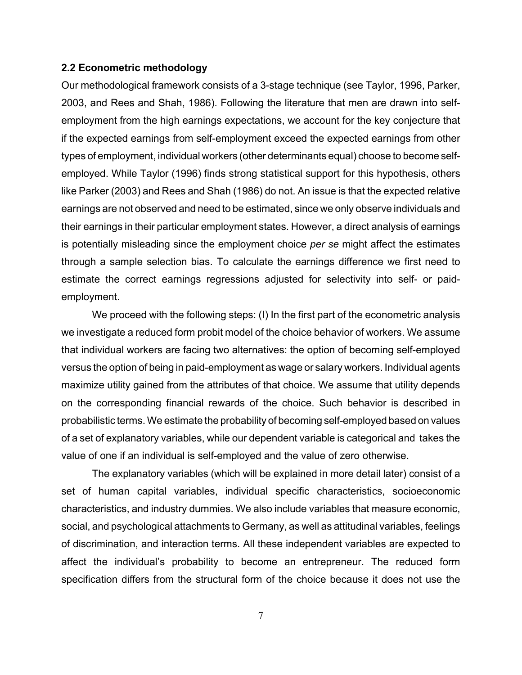### **2.2 Econometric methodology**

Our methodological framework consists of a 3-stage technique (see Taylor, 1996, Parker, 2003, and Rees and Shah, 1986). Following the literature that men are drawn into selfemployment from the high earnings expectations, we account for the key conjecture that if the expected earnings from self-employment exceed the expected earnings from other types of employment, individual workers (other determinants equal) choose to become selfemployed. While Taylor (1996) finds strong statistical support for this hypothesis, others like Parker (2003) and Rees and Shah (1986) do not. An issue is that the expected relative earnings are not observed and need to be estimated, since we only observe individuals and their earnings in their particular employment states. However, a direct analysis of earnings is potentially misleading since the employment choice *per se* might affect the estimates through a sample selection bias. To calculate the earnings difference we first need to estimate the correct earnings regressions adjusted for selectivity into self- or paidemployment.

We proceed with the following steps: (I) In the first part of the econometric analysis we investigate a reduced form probit model of the choice behavior of workers. We assume that individual workers are facing two alternatives: the option of becoming self-employed versus the option of being in paid-employment as wage or salary workers. Individual agents maximize utility gained from the attributes of that choice. We assume that utility depends on the corresponding financial rewards of the choice. Such behavior is described in probabilistic terms. We estimate the probability of becoming self-employed based on values of a set of explanatory variables, while our dependent variable is categorical and takes the value of one if an individual is self-employed and the value of zero otherwise.

The explanatory variables (which will be explained in more detail later) consist of a set of human capital variables, individual specific characteristics, socioeconomic characteristics, and industry dummies. We also include variables that measure economic, social, and psychological attachments to Germany, as well as attitudinal variables, feelings of discrimination, and interaction terms. All these independent variables are expected to affect the individual's probability to become an entrepreneur. The reduced form specification differs from the structural form of the choice because it does not use the

7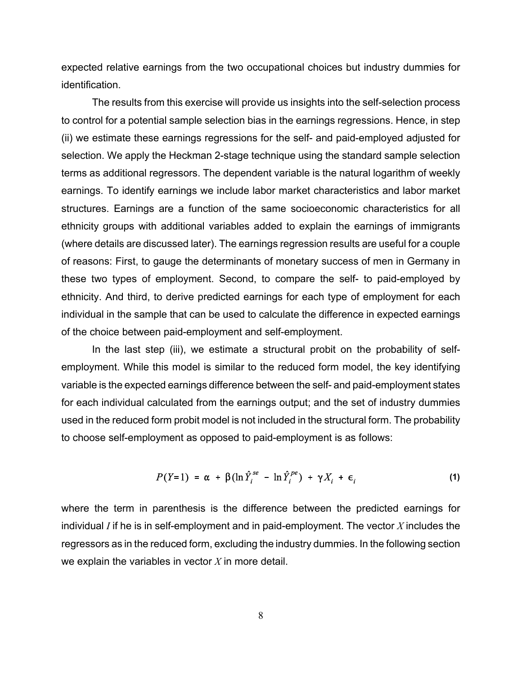expected relative earnings from the two occupational choices but industry dummies for identification.

The results from this exercise will provide us insights into the self-selection process to control for a potential sample selection bias in the earnings regressions. Hence, in step (ii) we estimate these earnings regressions for the self- and paid-employed adjusted for selection. We apply the Heckman 2-stage technique using the standard sample selection terms as additional regressors. The dependent variable is the natural logarithm of weekly earnings. To identify earnings we include labor market characteristics and labor market structures. Earnings are a function of the same socioeconomic characteristics for all ethnicity groups with additional variables added to explain the earnings of immigrants (where details are discussed later). The earnings regression results are useful for a couple of reasons: First, to gauge the determinants of monetary success of men in Germany in these two types of employment. Second, to compare the self- to paid-employed by ethnicity. And third, to derive predicted earnings for each type of employment for each individual in the sample that can be used to calculate the difference in expected earnings of the choice between paid-employment and self-employment.

In the last step (iii), we estimate a structural probit on the probability of selfemployment. While this model is similar to the reduced form model, the key identifying variable is the expected earnings difference between the self- and paid-employment states for each individual calculated from the earnings output; and the set of industry dummies used in the reduced form probit model is not included in the structural form. The probability to choose self-employment as opposed to paid-employment is as follows:

$$
P(Y=1) = \alpha + \beta (\ln \hat{Y}_i^{se} - \ln \hat{Y}_i^{pe}) + \gamma X_i + \epsilon_i
$$
 (1)

where the term in parenthesis is the difference between the predicted earnings for individual *I* if he is in self-employment and in paid-employment. The vector *X* includes the regressors as in the reduced form, excluding the industry dummies. In the following section we explain the variables in vector *X* in more detail.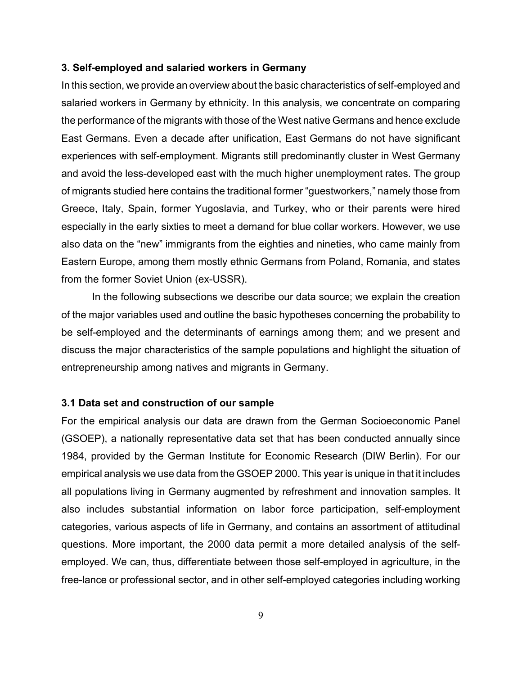### **3. Self-employed and salaried workers in Germany**

In this section, we provide an overview about the basic characteristics of self-employed and salaried workers in Germany by ethnicity. In this analysis, we concentrate on comparing the performance of the migrants with those of the West native Germans and hence exclude East Germans. Even a decade after unification, East Germans do not have significant experiences with self-employment. Migrants still predominantly cluster in West Germany and avoid the less-developed east with the much higher unemployment rates. The group of migrants studied here contains the traditional former "guestworkers," namely those from Greece, Italy, Spain, former Yugoslavia, and Turkey, who or their parents were hired especially in the early sixties to meet a demand for blue collar workers. However, we use also data on the "new" immigrants from the eighties and nineties, who came mainly from Eastern Europe, among them mostly ethnic Germans from Poland, Romania, and states from the former Soviet Union (ex-USSR).

In the following subsections we describe our data source; we explain the creation of the major variables used and outline the basic hypotheses concerning the probability to be self-employed and the determinants of earnings among them; and we present and discuss the major characteristics of the sample populations and highlight the situation of entrepreneurship among natives and migrants in Germany.

### **3.1 Data set and construction of our sample**

For the empirical analysis our data are drawn from the German Socioeconomic Panel (GSOEP), a nationally representative data set that has been conducted annually since 1984, provided by the German Institute for Economic Research (DIW Berlin). For our empirical analysis we use data from the GSOEP 2000. This year is unique in that it includes all populations living in Germany augmented by refreshment and innovation samples. It also includes substantial information on labor force participation, self-employment categories, various aspects of life in Germany, and contains an assortment of attitudinal questions. More important, the 2000 data permit a more detailed analysis of the selfemployed. We can, thus, differentiate between those self-employed in agriculture, in the free-lance or professional sector, and in other self-employed categories including working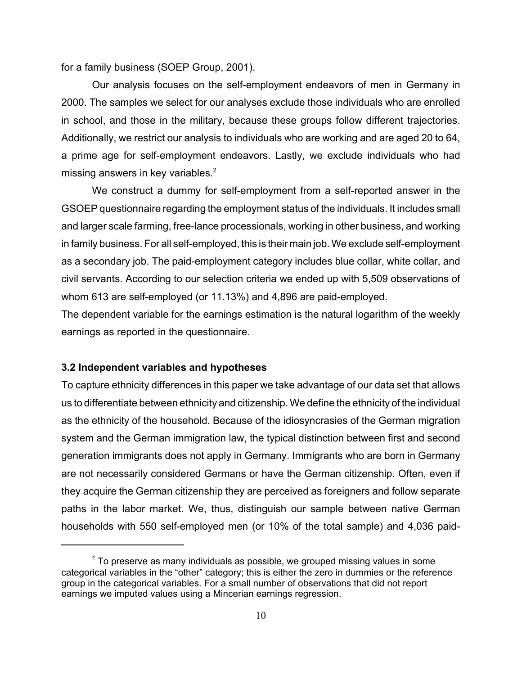for a family business (SOEP Group, 2001).

Our analysis focuses on the self-employment endeavors of men in Germany in 2000. The samples we select for our analyses exclude those individuals who are enrolled in school, and those in the military, because these groups follow different trajectories. Additionally, we restrict our analysis to individuals who are working and are aged 20 to 64, a prime age for self-employment endeavors. Lastly, we exclude individuals who had missing answers in key variables. $2^2$ 

We construct a dummy for self-employment from a self-reported answer in the GSOEP questionnaire regarding the employment status of the individuals. It includes small and larger scale farming, free-lance processionals, working in other business, and working in family business. For all self-employed, this is their main job. We exclude self-employment as a secondary job. The paid-employment category includes blue collar, white collar, and civil servants. According to our selection criteria we ended up with 5,509 observations of whom 613 are self-employed (or 11.13%) and 4,896 are paid-employed.

The dependent variable for the earnings estimation is the natural logarithm of the weekly earnings as reported in the questionnaire.

### **3.2 Independent variables and hypotheses**

To capture ethnicity differences in this paper we take advantage of our data set that allows us to differentiate between ethnicity and citizenship. We define the ethnicity of the individual as the ethnicity of the household. Because of the idiosyncrasies of the German migration system and the German immigration law, the typical distinction between first and second generation immigrants does not apply in Germany. Immigrants who are born in Germany are not necessarily considered Germans or have the German citizenship. Often, even if they acquire the German citizenship they are perceived as foreigners and follow separate paths in the labor market. We, thus, distinguish our sample between native German households with 550 self-employed men (or 10% of the total sample) and 4,036 paid-

 $2$  To preserve as many individuals as possible, we grouped missing values in some categorical variables in the "other" category; this is either the zero in dummies or the reference group in the categorical variables. For a small number of observations that did not report earnings we imputed values using a Mincerian earnings regression.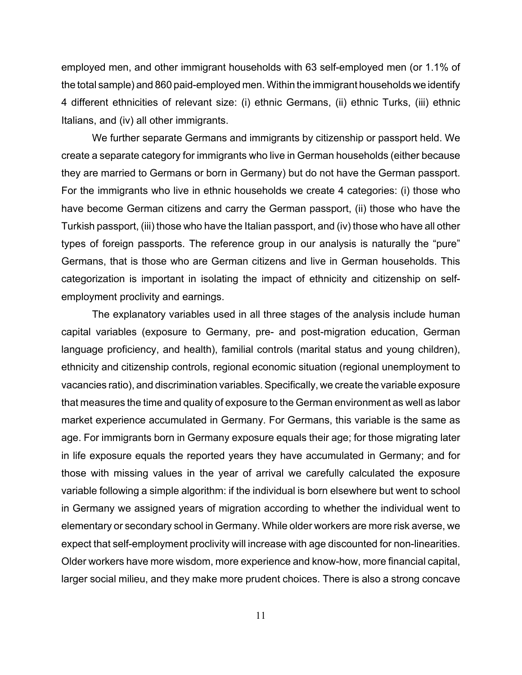employed men, and other immigrant households with 63 self-employed men (or 1.1% of the total sample) and 860 paid-employed men. Within the immigrant households we identify 4 different ethnicities of relevant size: (i) ethnic Germans, (ii) ethnic Turks, (iii) ethnic Italians, and (iv) all other immigrants.

We further separate Germans and immigrants by citizenship or passport held. We create a separate category for immigrants who live in German households (either because they are married to Germans or born in Germany) but do not have the German passport. For the immigrants who live in ethnic households we create 4 categories: (i) those who have become German citizens and carry the German passport, (ii) those who have the Turkish passport, (iii) those who have the Italian passport, and (iv) those who have all other types of foreign passports. The reference group in our analysis is naturally the "pure" Germans, that is those who are German citizens and live in German households. This categorization is important in isolating the impact of ethnicity and citizenship on selfemployment proclivity and earnings.

The explanatory variables used in all three stages of the analysis include human capital variables (exposure to Germany, pre- and post-migration education, German language proficiency, and health), familial controls (marital status and young children), ethnicity and citizenship controls, regional economic situation (regional unemployment to vacancies ratio), and discrimination variables. Specifically, we create the variable exposure that measures the time and quality of exposure to the German environment as well as labor market experience accumulated in Germany. For Germans, this variable is the same as age. For immigrants born in Germany exposure equals their age; for those migrating later in life exposure equals the reported years they have accumulated in Germany; and for those with missing values in the year of arrival we carefully calculated the exposure variable following a simple algorithm: if the individual is born elsewhere but went to school in Germany we assigned years of migration according to whether the individual went to elementary or secondary school in Germany. While older workers are more risk averse, we expect that self-employment proclivity will increase with age discounted for non-linearities. Older workers have more wisdom, more experience and know-how, more financial capital, larger social milieu, and they make more prudent choices. There is also a strong concave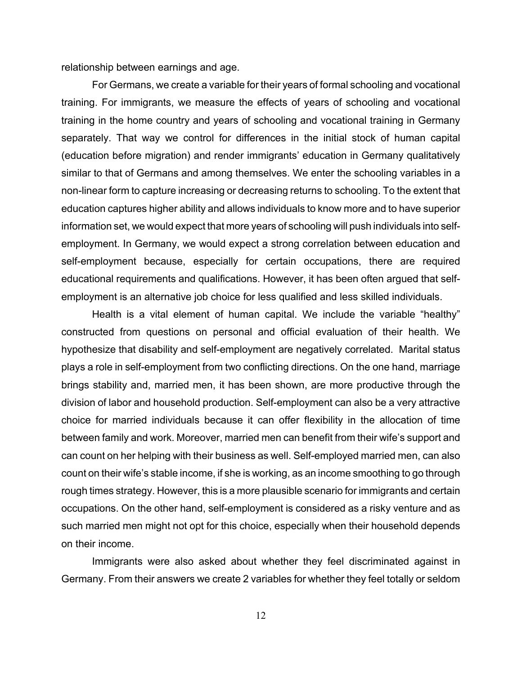relationship between earnings and age.

For Germans, we create a variable for their years of formal schooling and vocational training. For immigrants, we measure the effects of years of schooling and vocational training in the home country and years of schooling and vocational training in Germany separately. That way we control for differences in the initial stock of human capital (education before migration) and render immigrants' education in Germany qualitatively similar to that of Germans and among themselves. We enter the schooling variables in a non-linear form to capture increasing or decreasing returns to schooling. To the extent that education captures higher ability and allows individuals to know more and to have superior information set, we would expect that more years of schooling will push individuals into selfemployment. In Germany, we would expect a strong correlation between education and self-employment because, especially for certain occupations, there are required educational requirements and qualifications. However, it has been often argued that selfemployment is an alternative job choice for less qualified and less skilled individuals.

Health is a vital element of human capital. We include the variable "healthy" constructed from questions on personal and official evaluation of their health. We hypothesize that disability and self-employment are negatively correlated. Marital status plays a role in self-employment from two conflicting directions. On the one hand, marriage brings stability and, married men, it has been shown, are more productive through the division of labor and household production. Self-employment can also be a very attractive choice for married individuals because it can offer flexibility in the allocation of time between family and work. Moreover, married men can benefit from their wife's support and can count on her helping with their business as well. Self-employed married men, can also count on their wife's stable income, if she is working, as an income smoothing to go through rough times strategy. However, this is a more plausible scenario for immigrants and certain occupations. On the other hand, self-employment is considered as a risky venture and as such married men might not opt for this choice, especially when their household depends on their income.

Immigrants were also asked about whether they feel discriminated against in Germany. From their answers we create 2 variables for whether they feel totally or seldom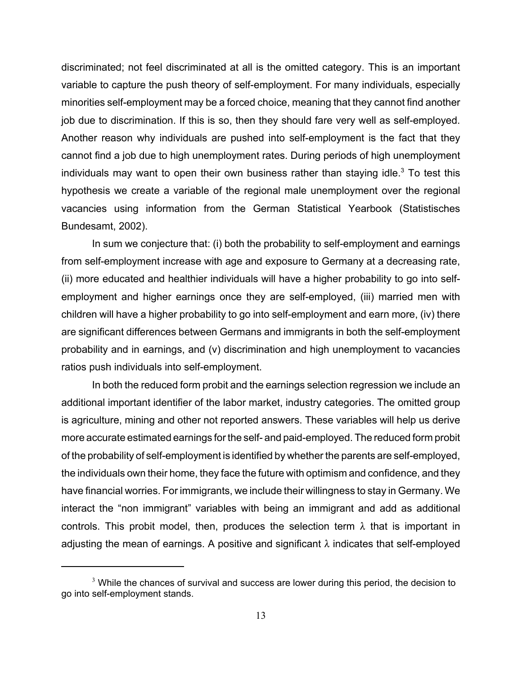discriminated; not feel discriminated at all is the omitted category. This is an important variable to capture the push theory of self-employment. For many individuals, especially minorities self-employment may be a forced choice, meaning that they cannot find another job due to discrimination. If this is so, then they should fare very well as self-employed. Another reason why individuals are pushed into self-employment is the fact that they cannot find a job due to high unemployment rates. During periods of high unemployment individuals may want to open their own business rather than staying idle.<sup>3</sup> To test this hypothesis we create a variable of the regional male unemployment over the regional vacancies using information from the German Statistical Yearbook (Statistisches Bundesamt, 2002).

In sum we conjecture that: (i) both the probability to self-employment and earnings from self-employment increase with age and exposure to Germany at a decreasing rate, (ii) more educated and healthier individuals will have a higher probability to go into selfemployment and higher earnings once they are self-employed, (iii) married men with children will have a higher probability to go into self-employment and earn more, (iv) there are significant differences between Germans and immigrants in both the self-employment probability and in earnings, and (v) discrimination and high unemployment to vacancies ratios push individuals into self-employment.

In both the reduced form probit and the earnings selection regression we include an additional important identifier of the labor market, industry categories. The omitted group is agriculture, mining and other not reported answers. These variables will help us derive more accurate estimated earnings for the self- and paid-employed. The reduced form probit of the probability of self-employment is identified by whether the parents are self-employed, the individuals own their home, they face the future with optimism and confidence, and they have financial worries. For immigrants, we include their willingness to stay in Germany. We interact the "non immigrant" variables with being an immigrant and add as additional controls. This probit model, then, produces the selection term  $\lambda$  that is important in adjusting the mean of earnings. A positive and significant  $\lambda$  indicates that self-employed

 $3$  While the chances of survival and success are lower during this period, the decision to go into self-employment stands.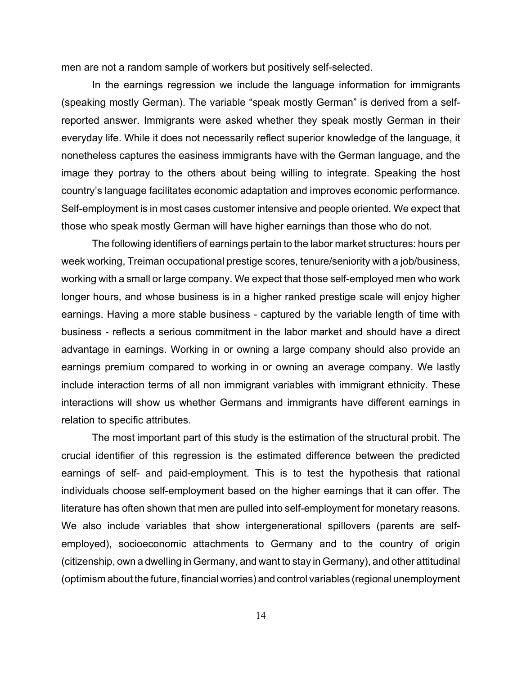men are not a random sample of workers but positively self-selected.

In the earnings regression we include the language information for immigrants (speaking mostly German). The variable "speak mostly German" is derived from a selfreported answer. Immigrants were asked whether they speak mostly German in their everyday life. While it does not necessarily reflect superior knowledge of the language, it nonetheless captures the easiness immigrants have with the German language, and the image they portray to the others about being willing to integrate. Speaking the host country's language facilitates economic adaptation and improves economic performance. Self-employment is in most cases customer intensive and people oriented. We expect that those who speak mostly German will have higher earnings than those who do not.

The following identifiers of earnings pertain to the labor market structures: hours per week working, Treiman occupational prestige scores, tenure/seniority with a job/business, working with a small or large company. We expect that those self-employed men who work longer hours, and whose business is in a higher ranked prestige scale will enjoy higher earnings. Having a more stable business - captured by the variable length of time with business - reflects a serious commitment in the labor market and should have a direct advantage in earnings. Working in or owning a large company should also provide an earnings premium compared to working in or owning an average company. We lastly include interaction terms of all non immigrant variables with immigrant ethnicity. These interactions will show us whether Germans and immigrants have different earnings in relation to specific attributes.

The most important part of this study is the estimation of the structural probit. The crucial identifier of this regression is the estimated difference between the predicted earnings of self- and paid-employment. This is to test the hypothesis that rational individuals choose self-employment based on the higher earnings that it can offer. The literature has often shown that men are pulled into self-employment for monetary reasons. We also include variables that show intergenerational spillovers (parents are selfemployed), socioeconomic attachments to Germany and to the country of origin (citizenship, own a dwelling in Germany, and want to stay in Germany), and other attitudinal (optimism about the future, financial worries) and control variables (regional unemployment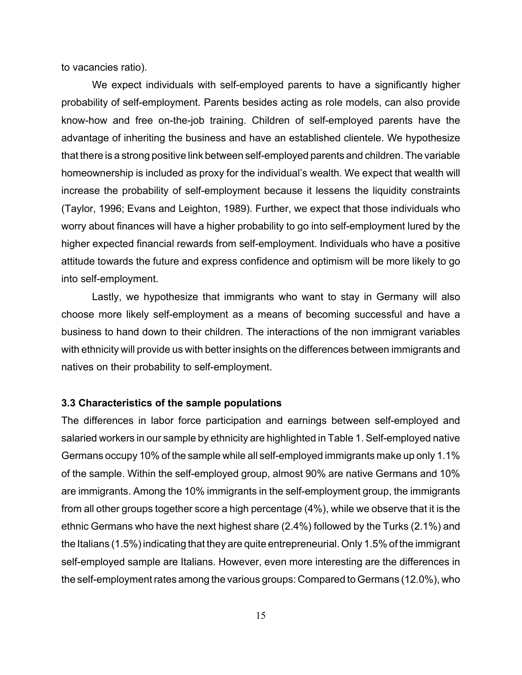to vacancies ratio).

We expect individuals with self-employed parents to have a significantly higher probability of self-employment. Parents besides acting as role models, can also provide know-how and free on-the-job training. Children of self-employed parents have the advantage of inheriting the business and have an established clientele. We hypothesize that there is a strong positive link between self-employed parents and children. The variable homeownership is included as proxy for the individual's wealth. We expect that wealth will increase the probability of self-employment because it lessens the liquidity constraints (Taylor, 1996; Evans and Leighton, 1989). Further, we expect that those individuals who worry about finances will have a higher probability to go into self-employment lured by the higher expected financial rewards from self-employment. Individuals who have a positive attitude towards the future and express confidence and optimism will be more likely to go into self-employment.

Lastly, we hypothesize that immigrants who want to stay in Germany will also choose more likely self-employment as a means of becoming successful and have a business to hand down to their children. The interactions of the non immigrant variables with ethnicity will provide us with better insights on the differences between immigrants and natives on their probability to self-employment.

### **3.3 Characteristics of the sample populations**

The differences in labor force participation and earnings between self-employed and salaried workers in our sample by ethnicity are highlighted in Table 1. Self-employed native Germans occupy 10% of the sample while all self-employed immigrants make up only 1.1% of the sample. Within the self-employed group, almost 90% are native Germans and 10% are immigrants. Among the 10% immigrants in the self-employment group, the immigrants from all other groups together score a high percentage (4%), while we observe that it is the ethnic Germans who have the next highest share (2.4%) followed by the Turks (2.1%) and the Italians (1.5%) indicating that they are quite entrepreneurial. Only 1.5% of the immigrant self-employed sample are Italians. However, even more interesting are the differences in the self-employment rates among the various groups: Compared to Germans (12.0%), who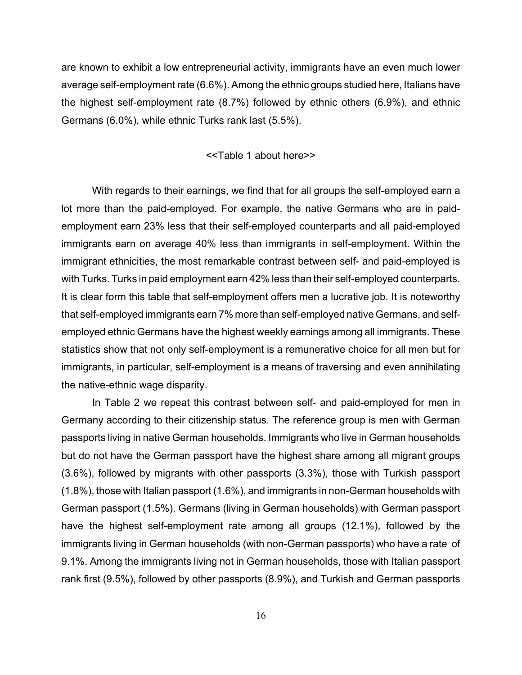are known to exhibit a low entrepreneurial activity, immigrants have an even much lower average self-employment rate (6.6%). Among the ethnic groups studied here, Italians have the highest self-employment rate (8.7%) followed by ethnic others (6.9%), and ethnic Germans (6.0%), while ethnic Turks rank last (5.5%).

### <<Table 1 about here>>

With regards to their earnings, we find that for all groups the self-employed earn a lot more than the paid-employed. For example, the native Germans who are in paidemployment earn 23% less that their self-employed counterparts and all paid-employed immigrants earn on average 40% less than immigrants in self-employment. Within the immigrant ethnicities, the most remarkable contrast between self- and paid-employed is with Turks. Turks in paid employment earn 42% less than their self-employed counterparts. It is clear form this table that self-employment offers men a lucrative job. It is noteworthy that self-employed immigrants earn 7% more than self-employed native Germans, and selfemployed ethnic Germans have the highest weekly earnings among all immigrants. These statistics show that not only self-employment is a remunerative choice for all men but for immigrants, in particular, self-employment is a means of traversing and even annihilating the native-ethnic wage disparity.

In Table 2 we repeat this contrast between self- and paid-employed for men in Germany according to their citizenship status. The reference group is men with German passports living in native German households. Immigrants who live in German households but do not have the German passport have the highest share among all migrant groups (3.6%), followed by migrants with other passports (3.3%), those with Turkish passport (1.8%), those with Italian passport (1.6%), and immigrants in non-German households with German passport (1.5%). Germans (living in German households) with German passport have the highest self-employment rate among all groups (12.1%), followed by the immigrants living in German households (with non-German passports) who have a rate of 9.1%. Among the immigrants living not in German households, those with Italian passport rank first (9.5%), followed by other passports (8.9%), and Turkish and German passports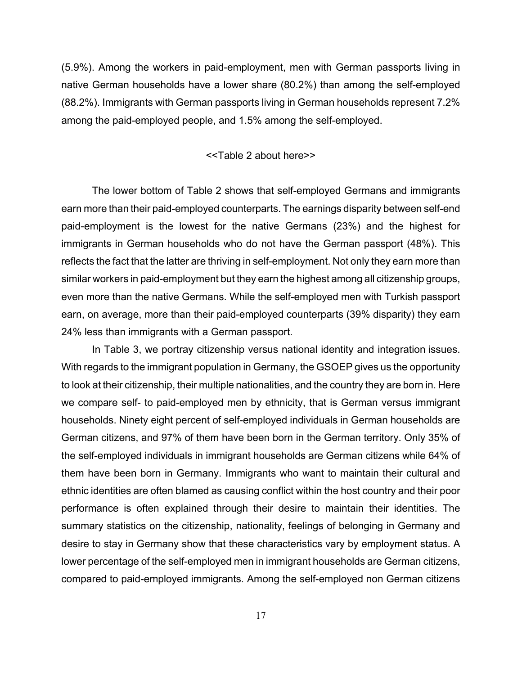(5.9%). Among the workers in paid-employment, men with German passports living in native German households have a lower share (80.2%) than among the self-employed (88.2%). Immigrants with German passports living in German households represent 7.2% among the paid-employed people, and 1.5% among the self-employed.

### <<Table 2 about here>>

The lower bottom of Table 2 shows that self-employed Germans and immigrants earn more than their paid-employed counterparts. The earnings disparity between self-end paid-employment is the lowest for the native Germans (23%) and the highest for immigrants in German households who do not have the German passport (48%). This reflects the fact that the latter are thriving in self-employment. Not only they earn more than similar workers in paid-employment but they earn the highest among all citizenship groups, even more than the native Germans. While the self-employed men with Turkish passport earn, on average, more than their paid-employed counterparts (39% disparity) they earn 24% less than immigrants with a German passport.

 In Table 3, we portray citizenship versus national identity and integration issues. With regards to the immigrant population in Germany, the GSOEP gives us the opportunity to look at their citizenship, their multiple nationalities, and the country they are born in. Here we compare self- to paid-employed men by ethnicity, that is German versus immigrant households. Ninety eight percent of self-employed individuals in German households are German citizens, and 97% of them have been born in the German territory. Only 35% of the self-employed individuals in immigrant households are German citizens while 64% of them have been born in Germany. Immigrants who want to maintain their cultural and ethnic identities are often blamed as causing conflict within the host country and their poor performance is often explained through their desire to maintain their identities. The summary statistics on the citizenship, nationality, feelings of belonging in Germany and desire to stay in Germany show that these characteristics vary by employment status. A lower percentage of the self-employed men in immigrant households are German citizens, compared to paid-employed immigrants. Among the self-employed non German citizens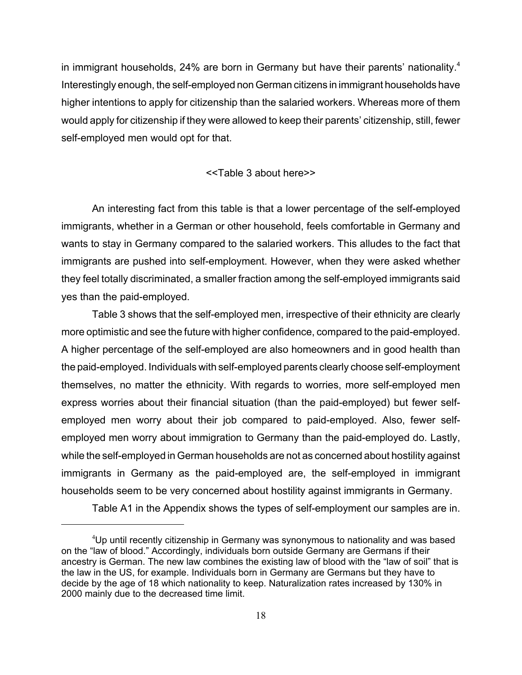in immigrant households, 24% are born in Germany but have their parents' nationality.<sup>4</sup> Interestingly enough, the self-employed non German citizens in immigrant households have higher intentions to apply for citizenship than the salaried workers. Whereas more of them would apply for citizenship if they were allowed to keep their parents' citizenship, still, fewer self-employed men would opt for that.

### <<Table 3 about here>>

 An interesting fact from this table is that a lower percentage of the self-employed immigrants, whether in a German or other household, feels comfortable in Germany and wants to stay in Germany compared to the salaried workers. This alludes to the fact that immigrants are pushed into self-employment. However, when they were asked whether they feel totally discriminated, a smaller fraction among the self-employed immigrants said yes than the paid-employed.

Table 3 shows that the self-employed men, irrespective of their ethnicity are clearly more optimistic and see the future with higher confidence, compared to the paid-employed. A higher percentage of the self-employed are also homeowners and in good health than the paid-employed. Individuals with self-employed parents clearly choose self-employment themselves, no matter the ethnicity. With regards to worries, more self-employed men express worries about their financial situation (than the paid-employed) but fewer selfemployed men worry about their job compared to paid-employed. Also, fewer selfemployed men worry about immigration to Germany than the paid-employed do. Lastly, while the self-employed in German households are not as concerned about hostility against immigrants in Germany as the paid-employed are, the self-employed in immigrant households seem to be very concerned about hostility against immigrants in Germany.

Table A1 in the Appendix shows the types of self-employment our samples are in.

<sup>&</sup>lt;sup>4</sup>Up until recently citizenship in Germany was synonymous to nationality and was based on the "law of blood." Accordingly, individuals born outside Germany are Germans if their ancestry is German. The new law combines the existing law of blood with the "law of soil" that is the law in the US, for example. Individuals born in Germany are Germans but they have to decide by the age of 18 which nationality to keep. Naturalization rates increased by 130% in 2000 mainly due to the decreased time limit.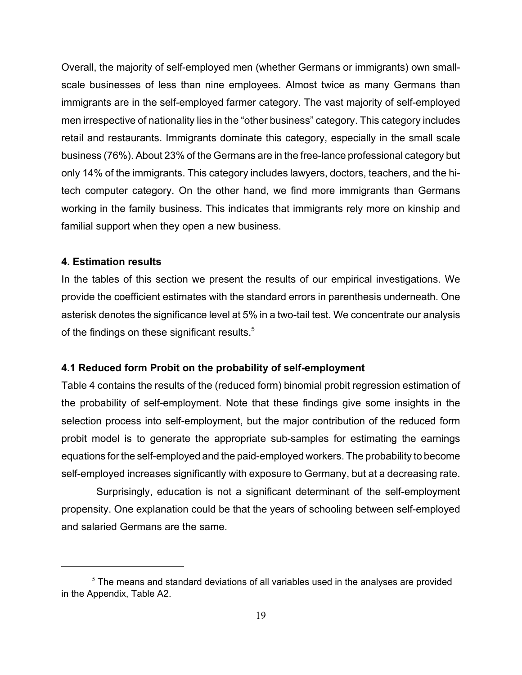Overall, the majority of self-employed men (whether Germans or immigrants) own smallscale businesses of less than nine employees. Almost twice as many Germans than immigrants are in the self-employed farmer category. The vast majority of self-employed men irrespective of nationality lies in the "other business" category. This category includes retail and restaurants. Immigrants dominate this category, especially in the small scale business (76%). About 23% of the Germans are in the free-lance professional category but only 14% of the immigrants. This category includes lawyers, doctors, teachers, and the hitech computer category. On the other hand, we find more immigrants than Germans working in the family business. This indicates that immigrants rely more on kinship and familial support when they open a new business.

### **4. Estimation results**

In the tables of this section we present the results of our empirical investigations. We provide the coefficient estimates with the standard errors in parenthesis underneath. One asterisk denotes the significance level at 5% in a two-tail test. We concentrate our analysis of the findings on these significant results.<sup>5</sup>

### **4.1 Reduced form Probit on the probability of self-employment**

Table 4 contains the results of the (reduced form) binomial probit regression estimation of the probability of self-employment. Note that these findings give some insights in the selection process into self-employment, but the major contribution of the reduced form probit model is to generate the appropriate sub-samples for estimating the earnings equations for the self-employed and the paid-employed workers. The probability to become self-employed increases significantly with exposure to Germany, but at a decreasing rate.

 Surprisingly, education is not a significant determinant of the self-employment propensity. One explanation could be that the years of schooling between self-employed and salaried Germans are the same.

 $<sup>5</sup>$  The means and standard deviations of all variables used in the analyses are provided</sup> in the Appendix, Table A2.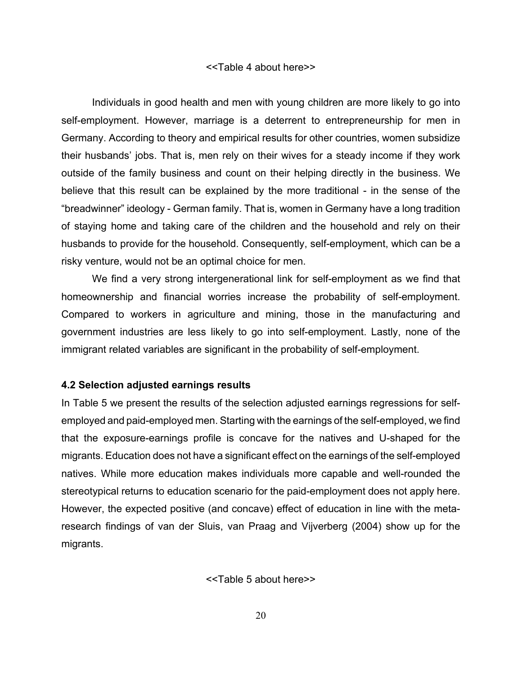### <<Table 4 about here>>

Individuals in good health and men with young children are more likely to go into self-employment. However, marriage is a deterrent to entrepreneurship for men in Germany. According to theory and empirical results for other countries, women subsidize their husbands' jobs. That is, men rely on their wives for a steady income if they work outside of the family business and count on their helping directly in the business. We believe that this result can be explained by the more traditional - in the sense of the "breadwinner" ideology - German family. That is, women in Germany have a long tradition of staying home and taking care of the children and the household and rely on their husbands to provide for the household. Consequently, self-employment, which can be a risky venture, would not be an optimal choice for men.

We find a very strong intergenerational link for self-employment as we find that homeownership and financial worries increase the probability of self-employment. Compared to workers in agriculture and mining, those in the manufacturing and government industries are less likely to go into self-employment. Lastly, none of the immigrant related variables are significant in the probability of self-employment.

### **4.2 Selection adjusted earnings results**

In Table 5 we present the results of the selection adjusted earnings regressions for selfemployed and paid-employed men. Starting with the earnings of the self-employed, we find that the exposure-earnings profile is concave for the natives and U-shaped for the migrants. Education does not have a significant effect on the earnings of the self-employed natives. While more education makes individuals more capable and well-rounded the stereotypical returns to education scenario for the paid-employment does not apply here. However, the expected positive (and concave) effect of education in line with the metaresearch findings of van der Sluis, van Praag and Vijverberg (2004) show up for the migrants.

<<Table 5 about here>>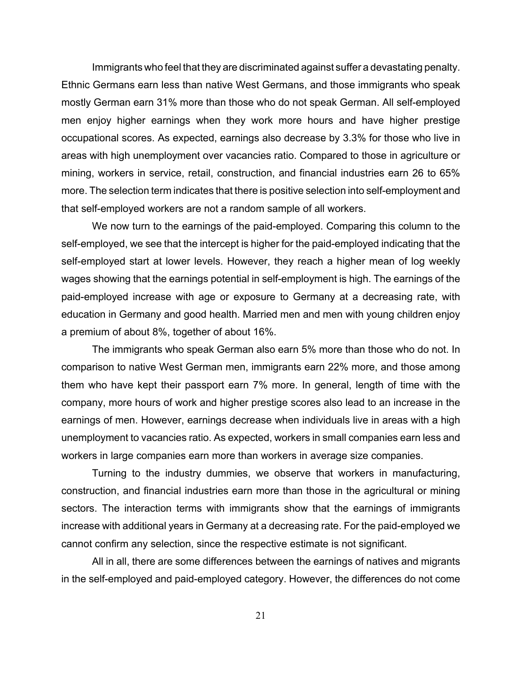Immigrants who feel that they are discriminated against suffer a devastating penalty. Ethnic Germans earn less than native West Germans, and those immigrants who speak mostly German earn 31% more than those who do not speak German. All self-employed men enjoy higher earnings when they work more hours and have higher prestige occupational scores. As expected, earnings also decrease by 3.3% for those who live in areas with high unemployment over vacancies ratio. Compared to those in agriculture or mining, workers in service, retail, construction, and financial industries earn 26 to 65% more. The selection term indicates that there is positive selection into self-employment and that self-employed workers are not a random sample of all workers.

We now turn to the earnings of the paid-employed. Comparing this column to the self-employed, we see that the intercept is higher for the paid-employed indicating that the self-employed start at lower levels. However, they reach a higher mean of log weekly wages showing that the earnings potential in self-employment is high. The earnings of the paid-employed increase with age or exposure to Germany at a decreasing rate, with education in Germany and good health. Married men and men with young children enjoy a premium of about 8%, together of about 16%.

The immigrants who speak German also earn 5% more than those who do not. In comparison to native West German men, immigrants earn 22% more, and those among them who have kept their passport earn 7% more. In general, length of time with the company, more hours of work and higher prestige scores also lead to an increase in the earnings of men. However, earnings decrease when individuals live in areas with a high unemployment to vacancies ratio. As expected, workers in small companies earn less and workers in large companies earn more than workers in average size companies.

Turning to the industry dummies, we observe that workers in manufacturing, construction, and financial industries earn more than those in the agricultural or mining sectors. The interaction terms with immigrants show that the earnings of immigrants increase with additional years in Germany at a decreasing rate. For the paid-employed we cannot confirm any selection, since the respective estimate is not significant.

All in all, there are some differences between the earnings of natives and migrants in the self-employed and paid-employed category. However, the differences do not come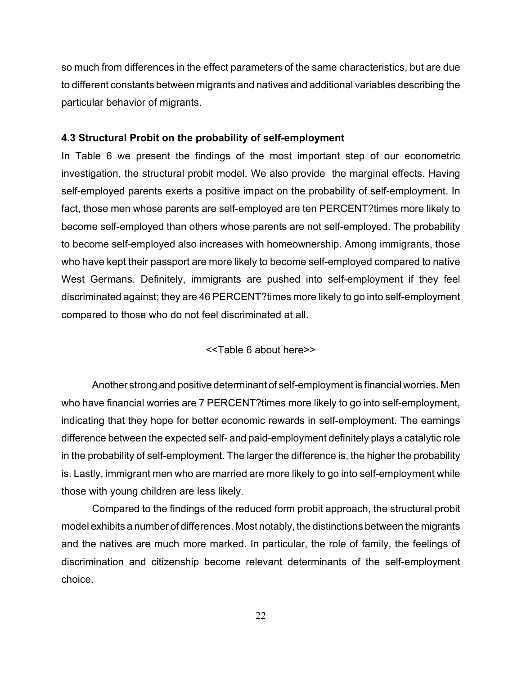so much from differences in the effect parameters of the same characteristics, but are due to different constants between migrants and natives and additional variables describing the particular behavior of migrants.

### **4.3 Structural Probit on the probability of self-employment**

In Table 6 we present the findings of the most important step of our econometric investigation, the structural probit model. We also provide the marginal effects. Having self-employed parents exerts a positive impact on the probability of self-employment. In fact, those men whose parents are self-employed are ten PERCENT?times more likely to become self-employed than others whose parents are not self-employed. The probability to become self-employed also increases with homeownership. Among immigrants, those who have kept their passport are more likely to become self-employed compared to native West Germans. Definitely, immigrants are pushed into self-employment if they feel discriminated against; they are 46 PERCENT?times more likely to go into self-employment compared to those who do not feel discriminated at all.

<<Table 6 about here>>

Another strong and positive determinant of self-employment is financial worries. Men who have financial worries are 7 PERCENT?times more likely to go into self-employment, indicating that they hope for better economic rewards in self-employment. The earnings difference between the expected self- and paid-employment definitely plays a catalytic role in the probability of self-employment. The larger the difference is, the higher the probability is. Lastly, immigrant men who are married are more likely to go into self-employment while those with young children are less likely.

Compared to the findings of the reduced form probit approach, the structural probit model exhibits a number of differences. Most notably, the distinctions between the migrants and the natives are much more marked. In particular, the role of family, the feelings of discrimination and citizenship become relevant determinants of the self-employment choice.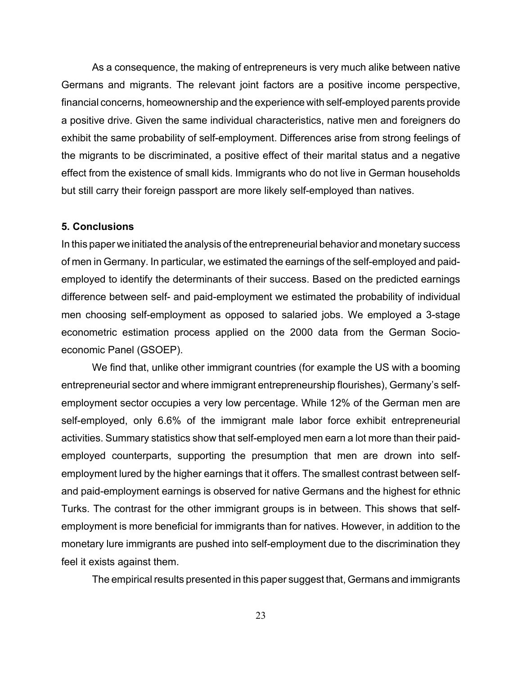As a consequence, the making of entrepreneurs is very much alike between native Germans and migrants. The relevant joint factors are a positive income perspective, financial concerns, homeownership and the experience with self-employed parents provide a positive drive. Given the same individual characteristics, native men and foreigners do exhibit the same probability of self-employment. Differences arise from strong feelings of the migrants to be discriminated, a positive effect of their marital status and a negative effect from the existence of small kids. Immigrants who do not live in German households but still carry their foreign passport are more likely self-employed than natives.

### **5. Conclusions**

In this paper we initiated the analysis of the entrepreneurial behavior and monetary success of men in Germany. In particular, we estimated the earnings of the self-employed and paidemployed to identify the determinants of their success. Based on the predicted earnings difference between self- and paid-employment we estimated the probability of individual men choosing self-employment as opposed to salaried jobs. We employed a 3-stage econometric estimation process applied on the 2000 data from the German Socioeconomic Panel (GSOEP).

We find that, unlike other immigrant countries (for example the US with a booming entrepreneurial sector and where immigrant entrepreneurship flourishes), Germany's selfemployment sector occupies a very low percentage. While 12% of the German men are self-employed, only 6.6% of the immigrant male labor force exhibit entrepreneurial activities. Summary statistics show that self-employed men earn a lot more than their paidemployed counterparts, supporting the presumption that men are drown into selfemployment lured by the higher earnings that it offers. The smallest contrast between selfand paid-employment earnings is observed for native Germans and the highest for ethnic Turks. The contrast for the other immigrant groups is in between. This shows that selfemployment is more beneficial for immigrants than for natives. However, in addition to the monetary lure immigrants are pushed into self-employment due to the discrimination they feel it exists against them.

The empirical results presented in this paper suggest that, Germans and immigrants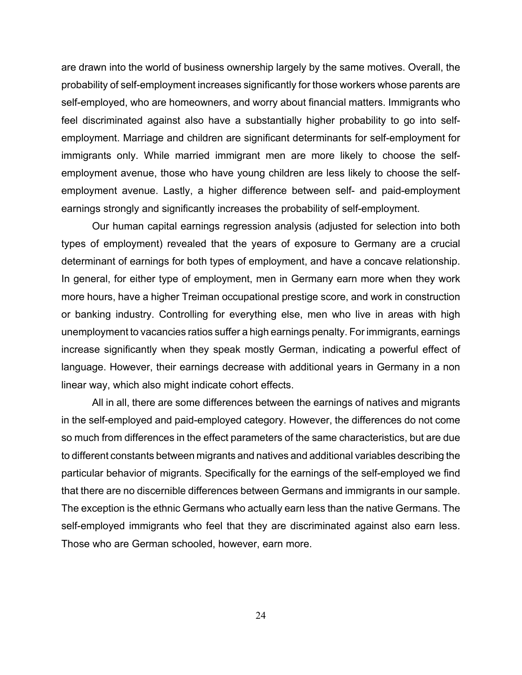are drawn into the world of business ownership largely by the same motives. Overall, the probability of self-employment increases significantly for those workers whose parents are self-employed, who are homeowners, and worry about financial matters. Immigrants who feel discriminated against also have a substantially higher probability to go into selfemployment. Marriage and children are significant determinants for self-employment for immigrants only. While married immigrant men are more likely to choose the selfemployment avenue, those who have young children are less likely to choose the selfemployment avenue. Lastly, a higher difference between self- and paid-employment earnings strongly and significantly increases the probability of self-employment.

Our human capital earnings regression analysis (adjusted for selection into both types of employment) revealed that the years of exposure to Germany are a crucial determinant of earnings for both types of employment, and have a concave relationship. In general, for either type of employment, men in Germany earn more when they work more hours, have a higher Treiman occupational prestige score, and work in construction or banking industry. Controlling for everything else, men who live in areas with high unemployment to vacancies ratios suffer a high earnings penalty. For immigrants, earnings increase significantly when they speak mostly German, indicating a powerful effect of language. However, their earnings decrease with additional years in Germany in a non linear way, which also might indicate cohort effects.

All in all, there are some differences between the earnings of natives and migrants in the self-employed and paid-employed category. However, the differences do not come so much from differences in the effect parameters of the same characteristics, but are due to different constants between migrants and natives and additional variables describing the particular behavior of migrants. Specifically for the earnings of the self-employed we find that there are no discernible differences between Germans and immigrants in our sample. The exception is the ethnic Germans who actually earn less than the native Germans. The self-employed immigrants who feel that they are discriminated against also earn less. Those who are German schooled, however, earn more.

24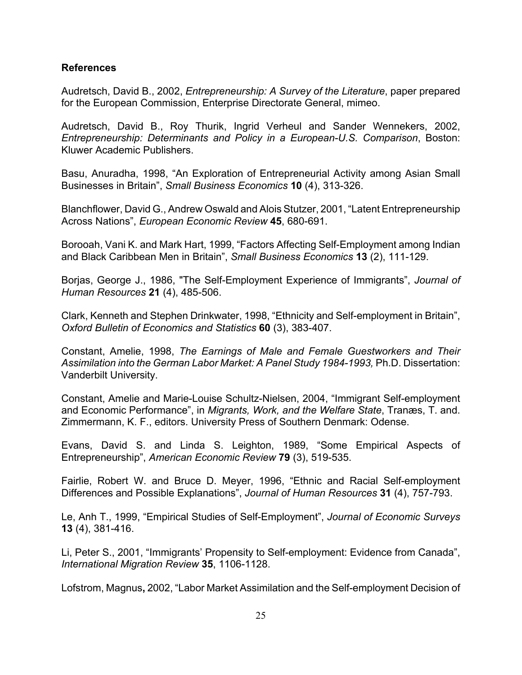### **References**

Audretsch, David B., 2002, *Entrepreneurship: A Survey of the Literature*, paper prepared for the European Commission, Enterprise Directorate General, mimeo.

Audretsch, David B., Roy Thurik, Ingrid Verheul and Sander Wennekers, 2002, *Entrepreneurship: Determinants and Policy in a European-U.S. Comparison*, Boston: Kluwer Academic Publishers.

Basu, Anuradha, 1998, "An Exploration of Entrepreneurial Activity among Asian Small Businesses in Britain", *Small Business Economics* **10** (4), 313-326.

Blanchflower, David G., Andrew Oswald and Alois Stutzer, 2001, "Latent Entrepreneurship Across Nations", *European Economic Review* **45**, 680-691.

Borooah, Vani K. and Mark Hart, 1999, "Factors Affecting Self-Employment among Indian and Black Caribbean Men in Britain", *Small Business Economics* **13** (2), 111-129.

Borjas, George J., 1986, "The Self-Employment Experience of Immigrants", *Journal of Human Resources* **21** (4), 485-506.

Clark, Kenneth and Stephen Drinkwater, 1998, "Ethnicity and Self-employment in Britain", *Oxford Bulletin of Economics and Statistics* **60** (3), 383-407.

Constant, Amelie, 1998, *The Earnings of Male and Female Guestworkers and Their Assimilation into the German Labor Market: A Panel Study 1984-1993,* Ph.D. Dissertation: Vanderbilt University.

Constant, Amelie and Marie-Louise Schultz-Nielsen, 2004, "Immigrant Self-employment and Economic Performance", in *Migrants, Work, and the Welfare State*, Tranæs, T. and. Zimmermann, K. F., editors. University Press of Southern Denmark: Odense.

Evans, David S. and Linda S. Leighton, 1989, "Some Empirical Aspects of Entrepreneurship", *American Economic Review* **79** (3), 519-535.

Fairlie, Robert W. and Bruce D. Meyer, 1996, "Ethnic and Racial Self-employment Differences and Possible Explanations", *Journal of Human Resources* **31** (4), 757-793.

Le, Anh T., 1999, "Empirical Studies of Self-Employment", *Journal of Economic Surveys* **13** (4), 381-416.

Li, Peter S., 2001, "Immigrants' Propensity to Self-employment: Evidence from Canada", *International Migration Review* **35**, 1106-1128.

Lofstrom, Magnus**,** 2002, "Labor Market Assimilation and the Self-employment Decision of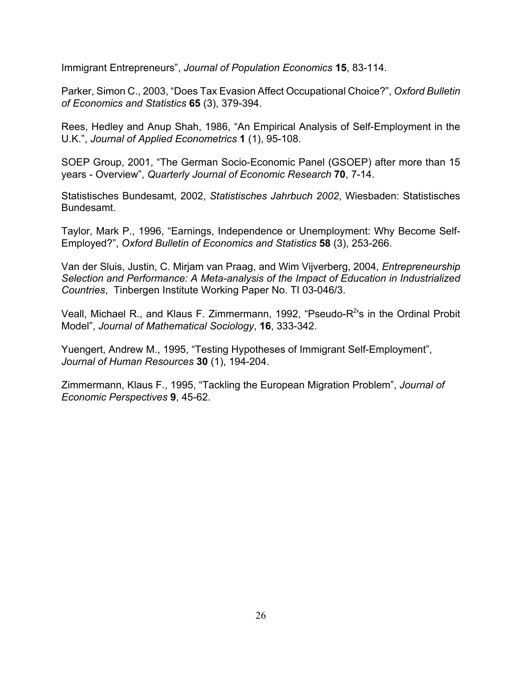Immigrant Entrepreneurs", *Journal of Population Economics* **15**, 83-114.

Parker, Simon C., 2003, "Does Tax Evasion Affect Occupational Choice?", *Oxford Bulletin of Economics and Statistics* **65** (3), 379-394.

Rees, Hedley and Anup Shah, 1986, "An Empirical Analysis of Self-Employment in the U.K.", *Journal of Applied Econometrics* **1** (1), 95-108.

SOEP Group, 2001, "The German Socio-Economic Panel (GSOEP) after more than 15 years - Overview", *Quarterly Journal of Economic Research* **70**, 7-14.

Statistisches Bundesamt, 2002, *Statistisches Jahrbuch 2002*, Wiesbaden: Statistisches Bundesamt.

Taylor, Mark P., 1996, "Earnings, Independence or Unemployment: Why Become Self-Employed?", *Oxford Bulletin of Economics and Statistics* **58** (3), 253-266.

Van der Sluis, Justin, C. Mirjam van Praag, and Wim Vijverberg, 2004, *Entrepreneurship Selection and Performance: A Meta-analysis of the Impact of Education in Industrialized Countries*, Tinbergen Institute Working Paper No. TI 03-046/3.

Veall, Michael R., and Klaus F. Zimmermann, 1992, "Pseudo-R<sup>2</sup>'s in the Ordinal Probit Model", *Journal of Mathematical Sociology*, **16**, 333-342.

Yuengert, Andrew M., 1995, "Testing Hypotheses of Immigrant Self-Employment", *Journal of Human Resources* **30** (1), 194-204.

Zimmermann, Klaus F., 1995, "Tackling the European Migration Problem", *Journal of Economic Perspectives* **9**, 45-62.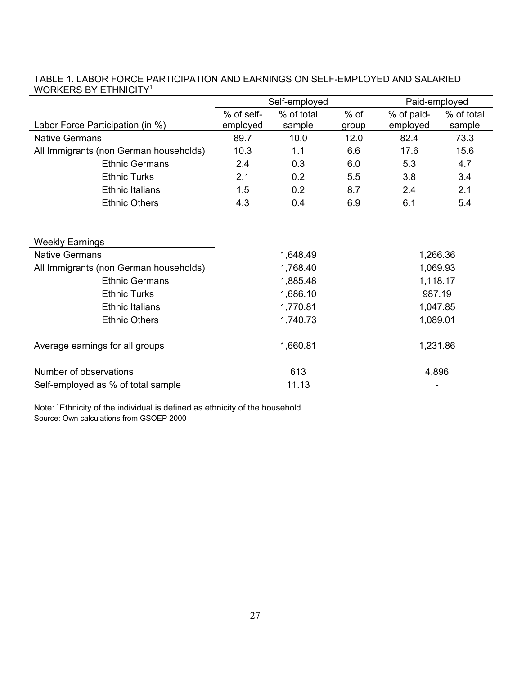|                                        | Self-employed |            | Paid-employed |            |            |
|----------------------------------------|---------------|------------|---------------|------------|------------|
|                                        | % of self-    | % of total | $%$ of        | % of paid- | % of total |
| Labor Force Participation (in %)       | employed      | sample     | group         | employed   | sample     |
| <b>Native Germans</b>                  | 89.7          | 10.0       | 12.0          | 82.4       | 73.3       |
| All Immigrants (non German households) | 10.3          | 1.1        | 6.6           | 17.6       | 15.6       |
| <b>Ethnic Germans</b>                  | 2.4           | 0.3        | 6.0           | 5.3        | 4.7        |
| <b>Ethnic Turks</b>                    | 2.1           | 0.2        | 5.5           | 3.8        | 3.4        |
| <b>Ethnic Italians</b>                 | 1.5           | 0.2        | 8.7           | 2.4        | 2.1        |
| <b>Ethnic Others</b>                   | 4.3           | 0.4        | 6.9           | 6.1        | 5.4        |
| <b>Weekly Earnings</b>                 |               |            |               |            |            |
| <b>Native Germans</b>                  |               | 1,648.49   |               |            | 1,266.36   |
| All Immigrants (non German households) |               | 1,768.40   |               |            | 1,069.93   |
| <b>Ethnic Germans</b>                  |               | 1,885.48   |               |            | 1,118.17   |
| <b>Ethnic Turks</b>                    |               | 1,686.10   |               | 987.19     |            |
| <b>Ethnic Italians</b>                 |               | 1,770.81   |               |            | 1,047.85   |
| <b>Ethnic Others</b>                   |               | 1,740.73   |               | 1,089.01   |            |
|                                        |               |            |               |            |            |
| Average earnings for all groups        |               | 1,660.81   |               |            | 1,231.86   |
|                                        |               |            |               |            |            |
| Number of observations                 |               | 613        |               | 4,896      |            |

Self-employed as % of total sample 11.13 and 11.13

### TABLE 1. LABOR FORCE PARTICIPATION AND EARNINGS ON SELF-EMPLOYED AND SALARIED WORKERS BY ETHNICITY<sup>1</sup>

Note: <sup>1</sup>Ethnicity of the individual is defined as ethnicity of the household Source: Own calculations from GSOEP 2000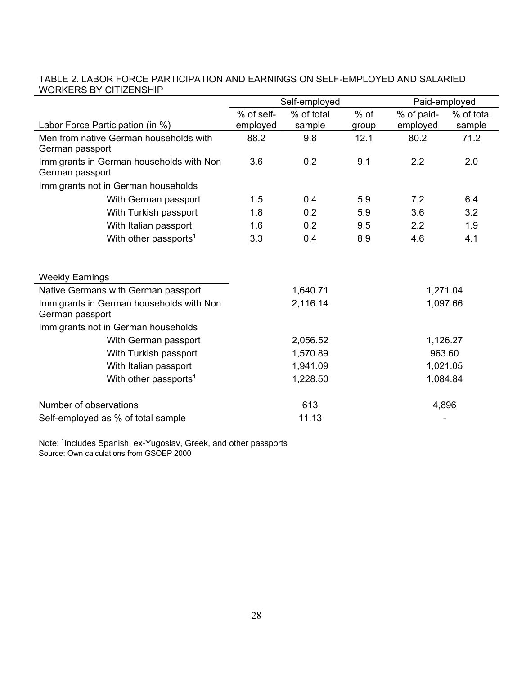|                                                             |            | Self-employed |        | Paid-employed |            |
|-------------------------------------------------------------|------------|---------------|--------|---------------|------------|
|                                                             | % of self- | % of total    | $%$ of | % of paid-    | % of total |
| Labor Force Participation (in %)                            | employed   | sample        | group  | employed      | sample     |
| Men from native German households with<br>German passport   | 88.2       | 9.8           | 12.1   | 80.2          | 71.2       |
| Immigrants in German households with Non<br>German passport | 3.6        | 0.2           | 9.1    | 2.2           | 2.0        |
| Immigrants not in German households                         |            |               |        |               |            |
| With German passport                                        | 1.5        | 0.4           | 5.9    | 7.2           | 6.4        |
| With Turkish passport                                       | 1.8        | 0.2           | 5.9    | 3.6           | 3.2        |
| With Italian passport                                       | 1.6        | 0.2           | 9.5    | 2.2           | 1.9        |
| With other passports <sup>1</sup>                           | 3.3        | 0.4           | 8.9    | 4.6           | 4.1        |
| <b>Weekly Earnings</b>                                      |            |               |        |               |            |
| Native Germans with German passport                         |            | 1,640.71      |        |               | 1,271.04   |
| Immigrants in German households with Non<br>German passport |            | 2,116.14      |        |               | 1,097.66   |
| Immigrants not in German households                         |            |               |        |               |            |
| With German passport                                        |            | 2,056.52      |        |               | 1,126.27   |
| With Turkish passport                                       |            | 1,570.89      |        | 963.60        |            |
| With Italian passport                                       |            | 1,941.09      |        | 1,021.05      |            |
| With other passports <sup>1</sup>                           |            | 1,228.50      |        |               | 1,084.84   |
| Number of observations                                      |            | 613           |        |               | 4,896      |
| Self-employed as % of total sample                          |            | 11.13         |        |               |            |

### TABLE 2. LABOR FORCE PARTICIPATION AND EARNINGS ON SELF-EMPLOYED AND SALARIED WORKERS BY CITIZENSHIP

Note: <sup>1</sup>Includes Spanish, ex-Yugoslav, Greek, and other passports Source: Own calculations from GSOEP 2000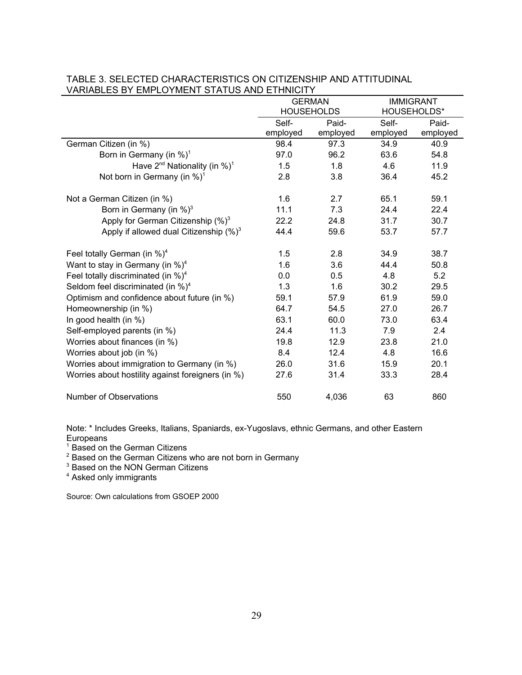|                                                    | <b>GERMAN</b>     |          | <b>IMMIGRANT</b> |          |
|----------------------------------------------------|-------------------|----------|------------------|----------|
|                                                    | <b>HOUSEHOLDS</b> |          | HOUSEHOLDS*      |          |
|                                                    | Self-             | Paid-    | Self-            | Paid-    |
|                                                    | employed          | employed | employed         | employed |
| German Citizen (in %)                              | 98.4              | 97.3     | 34.9             | 40.9     |
| Born in Germany (in $\%$ ) <sup>1</sup>            | 97.0              | 96.2     | 63.6             | 54.8     |
| Have $2^{nd}$ Nationality (in %) <sup>1</sup>      | 1.5               | 1.8      | 4.6              | 11.9     |
| Not born in Germany (in $\%$ ) <sup>1</sup>        | 2.8               | 3.8      | 36.4             | 45.2     |
| Not a German Citizen (in %)                        | 1.6               | 2.7      | 65.1             | 59.1     |
| Born in Germany (in %) <sup>3</sup>                | 11.1              | 7.3      | 24.4             | 22.4     |
| Apply for German Citizenship $(\%)^3$              | 22.2              | 24.8     | 31.7             | 30.7     |
| Apply if allowed dual Citizenship $(\%)^3$         | 44.4              | 59.6     | 53.7             | 57.7     |
|                                                    |                   |          |                  |          |
| Feel totally German (in $\%$ ) <sup>4</sup>        | 1.5               | 2.8      | 34.9             | 38.7     |
| Want to stay in Germany (in %) <sup>4</sup>        | 1.6               | 3.6      | 44.4             | 50.8     |
| Feel totally discriminated (in $\%$ ) <sup>4</sup> | 0.0               | 0.5      | 4.8              | 5.2      |
| Seldom feel discriminated (in %) <sup>4</sup>      | 1.3               | 1.6      | 30.2             | 29.5     |
| Optimism and confidence about future (in %)        | 59.1              | 57.9     | 61.9             | 59.0     |
| Homeownership (in %)                               | 64.7              | 54.5     | 27.0             | 26.7     |
| In good health (in %)                              | 63.1              | 60.0     | 73.0             | 63.4     |
| Self-employed parents (in %)                       | 24.4              | 11.3     | 7.9              | 2.4      |
| Worries about finances (in %)                      | 19.8              | 12.9     | 23.8             | 21.0     |
| Worries about job (in %)                           | 8.4               | 12.4     | 4.8              | 16.6     |
| Worries about immigration to Germany (in %)        | 26.0              | 31.6     | 15.9             | 20.1     |
| Worries about hostility against foreigners (in %)  | 27.6              | 31.4     | 33.3             | 28.4     |
| <b>Number of Observations</b>                      | 550               | 4,036    | 63               | 860      |

### TABLE 3. SELECTED CHARACTERISTICS ON CITIZENSHIP AND ATTITUDINAL VARIABLES BY EMPLOYMENT STATUS AND ETHNICITY

Note: \* Includes Greeks, Italians, Spaniards, ex-Yugoslavs, ethnic Germans, and other Eastern Europeans

<sup>1</sup> Based on the German Citizens

 $2$  Based on the German Citizens who are not born in Germany

<sup>3</sup> Based on the NON German Citizens

<sup>4</sup> Asked only immigrants

Source: Own calculations from GSOEP 2000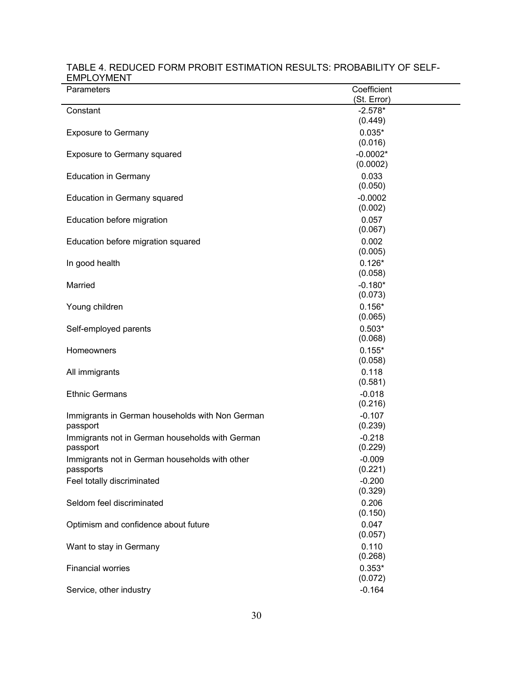| Parameters                                                  | Coefficient<br>(St. Error) |
|-------------------------------------------------------------|----------------------------|
| Constant                                                    | $-2.578*$                  |
|                                                             | (0.449)                    |
| <b>Exposure to Germany</b>                                  | $0.035*$<br>(0.016)        |
| Exposure to Germany squared                                 | $-0.0002*$                 |
|                                                             | (0.0002)                   |
| <b>Education in Germany</b>                                 | 0.033<br>(0.050)           |
| Education in Germany squared                                | $-0.0002$                  |
| Education before migration                                  | (0.002)<br>0.057           |
|                                                             | (0.067)                    |
| Education before migration squared                          | 0.002                      |
| In good health                                              | (0.005)<br>$0.126*$        |
|                                                             | (0.058)                    |
| Married                                                     | $-0.180*$                  |
| Young children                                              | (0.073)<br>$0.156*$        |
|                                                             | (0.065)                    |
| Self-employed parents                                       | $0.503*$<br>(0.068)        |
| Homeowners                                                  | $0.155*$                   |
|                                                             | (0.058)                    |
| All immigrants                                              | 0.118<br>(0.581)           |
| <b>Ethnic Germans</b>                                       | $-0.018$                   |
|                                                             | (0.216)                    |
| Immigrants in German households with Non German<br>passport | $-0.107$<br>(0.239)        |
| Immigrants not in German households with German             | $-0.218$                   |
| passport                                                    | (0.229)                    |
| Immigrants not in German households with other<br>passports | $-0.009$<br>(0.221)        |
| Feel totally discriminated                                  | $-0.200$                   |
|                                                             | (0.329)<br>0.206           |
| Seldom feel discriminated                                   | (0.150)                    |
| Optimism and confidence about future                        | 0.047                      |
| Want to stay in Germany                                     | (0.057)<br>0.110           |
|                                                             | (0.268)                    |
| <b>Financial worries</b>                                    | $0.353*$                   |
| Service, other industry                                     | (0.072)<br>$-0.164$        |
|                                                             |                            |

### TABLE 4. REDUCED FORM PROBIT ESTIMATION RESULTS: PROBABILITY OF SELF-EMPLOYMENT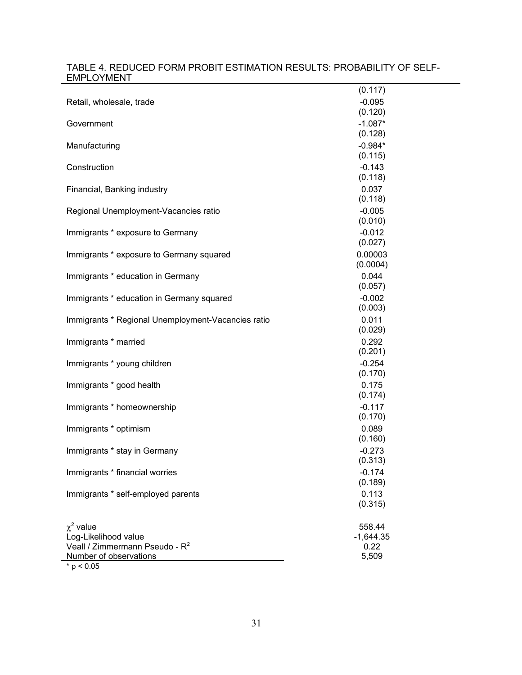|                                                    | (0.117)             |
|----------------------------------------------------|---------------------|
| Retail, wholesale, trade                           | $-0.095$            |
|                                                    | (0.120)             |
| Government                                         | $-1.087*$           |
|                                                    | (0.128)             |
| Manufacturing                                      | $-0.984*$           |
|                                                    | (0.115)             |
| Construction                                       | $-0.143$            |
|                                                    | (0.118)             |
| Financial, Banking industry                        | 0.037               |
|                                                    | (0.118)             |
| Regional Unemployment-Vacancies ratio              | $-0.005$            |
|                                                    | (0.010)             |
| Immigrants * exposure to Germany                   | $-0.012$            |
|                                                    | (0.027)             |
| Immigrants * exposure to Germany squared           | 0.00003             |
|                                                    | (0.0004)            |
| Immigrants * education in Germany                  | 0.044               |
|                                                    | (0.057)             |
| Immigrants * education in Germany squared          | $-0.002$            |
|                                                    | (0.003)             |
| Immigrants * Regional Unemployment-Vacancies ratio | 0.011               |
|                                                    | (0.029)             |
| Immigrants * married                               | 0.292               |
|                                                    | (0.201)             |
| Immigrants * young children                        | $-0.254$            |
|                                                    | (0.170)             |
| Immigrants * good health                           | 0.175               |
|                                                    | (0.174)             |
| Immigrants * homeownership                         | $-0.117$            |
|                                                    | (0.170)             |
| Immigrants * optimism                              | 0.089               |
|                                                    | (0.160)             |
| Immigrants * stay in Germany                       | $-0.273$            |
|                                                    | (0.313)             |
| Immigrants * financial worries                     | $-0.174$            |
|                                                    | (0.189)             |
| Immigrants * self-employed parents                 | 0.113               |
|                                                    | (0.315)             |
|                                                    |                     |
| $\chi^2$ value<br>Log-Likelihood value             | 558.44              |
| Veall / Zimmermann Pseudo - R <sup>2</sup>         | $-1,644.35$<br>0.22 |
| Number of observations                             | 5,509               |
|                                                    |                     |

### TABLE 4. REDUCED FORM PROBIT ESTIMATION RESULTS: PROBABILITY OF SELF-EMPLOYMENT

 $* p < 0.05$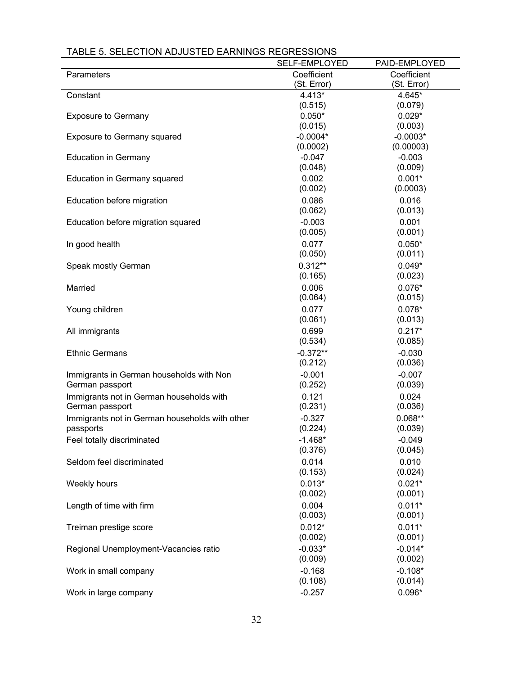|                                                | SELF-EMPLOYED | PAID-EMPLOYED |
|------------------------------------------------|---------------|---------------|
| Parameters                                     | Coefficient   | Coefficient   |
|                                                | (St. Error)   | (St. Error)   |
| Constant                                       | 4.413*        | 4.645*        |
|                                                | (0.515)       | (0.079)       |
| <b>Exposure to Germany</b>                     | $0.050*$      | $0.029*$      |
|                                                | (0.015)       | (0.003)       |
| <b>Exposure to Germany squared</b>             | $-0.0004*$    | $-0.0003*$    |
|                                                | (0.0002)      | (0.00003)     |
| <b>Education in Germany</b>                    | $-0.047$      | $-0.003$      |
|                                                | (0.048)       | (0.009)       |
| Education in Germany squared                   | 0.002         | $0.001*$      |
|                                                | (0.002)       | (0.0003)      |
| Education before migration                     | 0.086         | 0.016         |
|                                                | (0.062)       | (0.013)       |
| Education before migration squared             | $-0.003$      | 0.001         |
|                                                | (0.005)       | (0.001)       |
| In good health                                 | 0.077         | $0.050*$      |
|                                                | (0.050)       | (0.011)       |
| Speak mostly German                            | $0.312**$     | $0.049*$      |
|                                                | (0.165)       | (0.023)       |
| Married                                        | 0.006         | $0.076*$      |
|                                                | (0.064)       | (0.015)       |
| Young children                                 | 0.077         | $0.078*$      |
|                                                | (0.061)       | (0.013)       |
| All immigrants                                 | 0.699         | $0.217*$      |
|                                                | (0.534)       | (0.085)       |
| <b>Ethnic Germans</b>                          | $-0.372**$    | $-0.030$      |
|                                                | (0.212)       | (0.036)       |
| Immigrants in German households with Non       | $-0.001$      | $-0.007$      |
| German passport                                | (0.252)       | (0.039)       |
| Immigrants not in German households with       | 0.121         | 0.024         |
| German passport                                | (0.231)       | (0.036)       |
| Immigrants not in German households with other | $-0.327$      | $0.068**$     |
| passports                                      | (0.224)       | (0.039)       |
| Feel totally discriminated                     | $-1.468*$     | $-0.049$      |
|                                                | (0.376)       | (0.045)       |
| Seldom feel discriminated                      | 0.014         | 0.010         |
|                                                | (0.153)       | (0.024)       |
| Weekly hours                                   | $0.013*$      | $0.021*$      |
|                                                | (0.002)       | (0.001)       |
| Length of time with firm                       | 0.004         | $0.011*$      |
|                                                | (0.003)       | (0.001)       |
| Treiman prestige score                         | $0.012*$      | $0.011*$      |
|                                                | (0.002)       | (0.001)       |
| Regional Unemployment-Vacancies ratio          | $-0.033*$     | $-0.014*$     |
|                                                | (0.009)       | (0.002)       |
| Work in small company                          | $-0.168$      | $-0.108*$     |
|                                                | (0.108)       | (0.014)       |
| Work in large company                          | $-0.257$      | $0.096*$      |
|                                                |               |               |

### TABLE 5. SELECTION ADJUSTED EARNINGS REGRESSIONS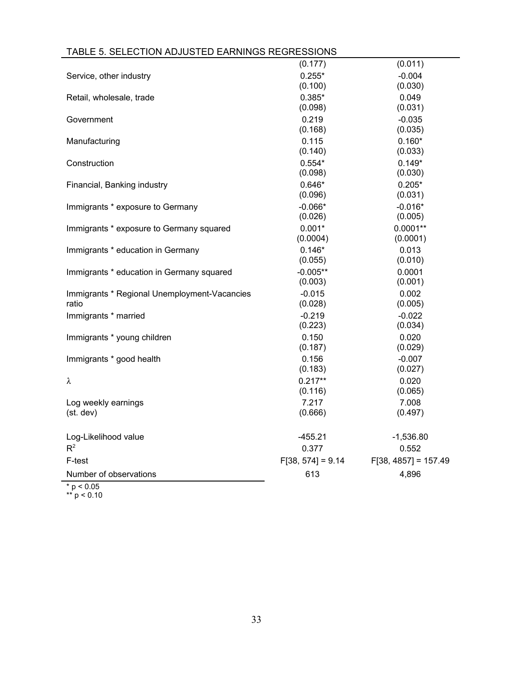|                                                | (0.177)             | (0.011)                |
|------------------------------------------------|---------------------|------------------------|
| Service, other industry                        | $0.255*$            | $-0.004$               |
|                                                | (0.100)             | (0.030)                |
| Retail, wholesale, trade                       | $0.385*$            | 0.049                  |
|                                                | (0.098)             | (0.031)                |
| Government                                     | 0.219               | $-0.035$               |
|                                                | (0.168)             | (0.035)                |
| Manufacturing                                  | 0.115               | $0.160*$               |
|                                                | (0.140)             | (0.033)                |
| Construction                                   | $0.554*$            | $0.149*$               |
|                                                | (0.098)             | (0.030)                |
| Financial, Banking industry                    | $0.646*$            | $0.205*$               |
|                                                | (0.096)             | (0.031)                |
| Immigrants * exposure to Germany               | $-0.066*$           | $-0.016*$              |
|                                                | (0.026)             | (0.005)                |
| Immigrants * exposure to Germany squared       | $0.001*$            | $0.0001**$             |
|                                                | (0.0004)            | (0.0001)               |
| Immigrants * education in Germany              | $0.146*$            | 0.013                  |
|                                                | (0.055)             | (0.010)                |
| Immigrants * education in Germany squared      | $-0.005**$          | 0.0001                 |
|                                                | (0.003)             | (0.001)                |
| Immigrants * Regional Unemployment-Vacancies   | $-0.015$            | 0.002                  |
| ratio                                          | (0.028)             | (0.005)                |
| Immigrants * married                           | $-0.219$            | $-0.022$               |
|                                                | (0.223)             | (0.034)                |
| Immigrants * young children                    | 0.150               | 0.020                  |
|                                                | (0.187)             | (0.029)                |
| Immigrants * good health                       | 0.156               | $-0.007$               |
|                                                | (0.183)             | (0.027)                |
| λ                                              | $0.217**$           | 0.020                  |
|                                                | (0.116)             | (0.065)                |
| Log weekly earnings                            | 7.217               | 7.008                  |
| (st. dev)                                      | (0.666)             | (0.497)                |
| Log-Likelihood value                           | $-455.21$           | $-1,536.80$            |
| $R^2$                                          | 0.377               | 0.552                  |
| F-test                                         | $F[38, 574] = 9.14$ | $F[38, 4857] = 157.49$ |
|                                                |                     |                        |
| Number of observations<br>$\sim$ $\sim$ $\sim$ | 613                 | 4,896                  |

# TABLE 5. SELECTION ADJUSTED EARNINGS REGRESSIONS

\* p < 0.05

\*\* p < 0.10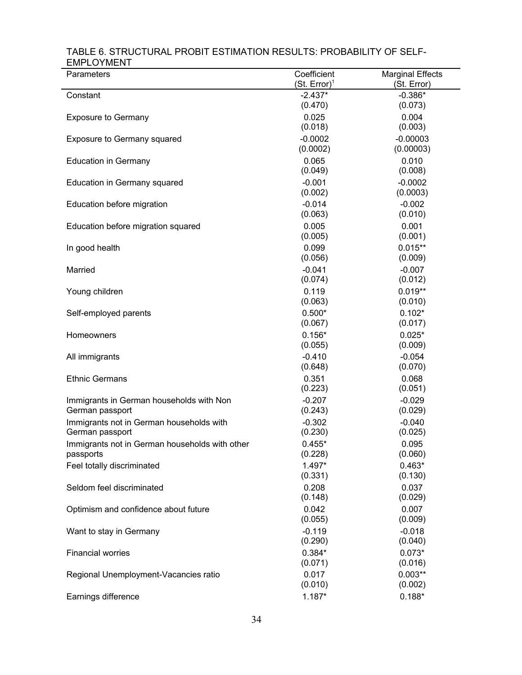| Parameters                                                  | Coefficient<br>(St. Error) $^1$ | <b>Marginal Effects</b><br>(St. Error) |
|-------------------------------------------------------------|---------------------------------|----------------------------------------|
| Constant                                                    | $-2.437*$                       | $-0.386*$                              |
| <b>Exposure to Germany</b>                                  | (0.470)<br>0.025                | (0.073)<br>0.004                       |
|                                                             | (0.018)                         | (0.003)                                |
| <b>Exposure to Germany squared</b>                          | $-0.0002$                       | $-0.00003$                             |
|                                                             | (0.0002)                        | (0.00003)                              |
| <b>Education in Germany</b>                                 | 0.065                           | 0.010                                  |
|                                                             | (0.049)                         | (0.008)                                |
| Education in Germany squared                                | $-0.001$                        | $-0.0002$                              |
|                                                             | (0.002)<br>$-0.014$             | (0.0003)<br>$-0.002$                   |
| Education before migration                                  | (0.063)                         | (0.010)                                |
| Education before migration squared                          | 0.005                           | 0.001                                  |
|                                                             | (0.005)                         | (0.001)                                |
| In good health                                              | 0.099                           | $0.015**$                              |
|                                                             | (0.056)                         | (0.009)                                |
| Married                                                     | $-0.041$                        | $-0.007$                               |
|                                                             | (0.074)                         | (0.012)                                |
| Young children                                              | 0.119<br>(0.063)                | $0.019**$<br>(0.010)                   |
| Self-employed parents                                       | $0.500*$                        | $0.102*$                               |
|                                                             | (0.067)                         | (0.017)                                |
| Homeowners                                                  | $0.156*$                        | $0.025*$                               |
|                                                             | (0.055)                         | (0.009)                                |
| All immigrants                                              | $-0.410$                        | $-0.054$                               |
|                                                             | (0.648)                         | (0.070)                                |
| <b>Ethnic Germans</b>                                       | 0.351                           | 0.068                                  |
|                                                             | (0.223)<br>$-0.207$             | (0.051)<br>$-0.029$                    |
| Immigrants in German households with Non<br>German passport | (0.243)                         | (0.029)                                |
| Immigrants not in German households with                    | $-0.302$                        | $-0.040$                               |
| German passport                                             | (0.230)                         | (0.025)                                |
| Immigrants not in German households with other              | $0.455*$                        | 0.095                                  |
| passports                                                   | (0.228)                         | (0.060)                                |
| Feel totally discriminated                                  | $1.497*$                        | $0.463*$                               |
|                                                             | (0.331)                         | (0.130)                                |
| Seldom feel discriminated                                   | 0.208<br>(0.148)                | 0.037<br>(0.029)                       |
| Optimism and confidence about future                        | 0.042                           | 0.007                                  |
|                                                             | (0.055)                         | (0.009)                                |
| Want to stay in Germany                                     | $-0.119$                        | $-0.018$                               |
|                                                             | (0.290)                         | (0.040)                                |
| <b>Financial worries</b>                                    | $0.384*$                        | $0.073*$                               |
|                                                             | (0.071)                         | (0.016)                                |
| Regional Unemployment-Vacancies ratio                       | 0.017                           | $0.003**$<br>(0.002)                   |
| Earnings difference                                         | (0.010)<br>$1.187*$             | $0.188*$                               |
|                                                             |                                 |                                        |

### TABLE 6. STRUCTURAL PROBIT ESTIMATION RESULTS: PROBABILITY OF SELF-EMPLOYMENT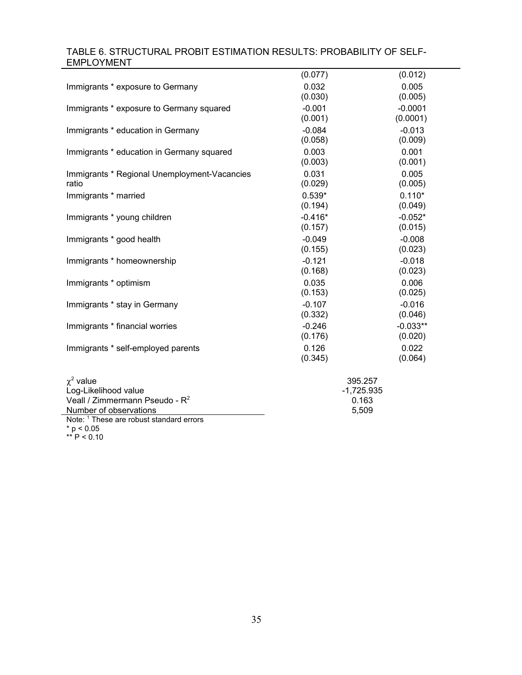### TABLE 6. STRUCTURAL PROBIT ESTIMATION RESULTS: PROBABILITY OF SELF-EMPLOYMENT

|                                                       | (0.077)              | (0.012)               |
|-------------------------------------------------------|----------------------|-----------------------|
| Immigrants * exposure to Germany                      | 0.032<br>(0.030)     | 0.005<br>(0.005)      |
| Immigrants * exposure to Germany squared              | $-0.001$<br>(0.001)  | $-0.0001$<br>(0.0001) |
| Immigrants * education in Germany                     | $-0.084$<br>(0.058)  | $-0.013$<br>(0.009)   |
| Immigrants * education in Germany squared             | 0.003<br>(0.003)     | 0.001<br>(0.001)      |
| Immigrants * Regional Unemployment-Vacancies<br>ratio | 0.031<br>(0.029)     | 0.005<br>(0.005)      |
| Immigrants * married                                  | $0.539*$<br>(0.194)  | $0.110*$<br>(0.049)   |
| Immigrants * young children                           | $-0.416*$<br>(0.157) | $-0.052*$<br>(0.015)  |
| Immigrants * good health                              | $-0.049$<br>(0.155)  | $-0.008$<br>(0.023)   |
| Immigrants * homeownership                            | $-0.121$<br>(0.168)  | $-0.018$<br>(0.023)   |
| Immigrants * optimism                                 | 0.035<br>(0.153)     | 0.006<br>(0.025)      |
| Immigrants * stay in Germany                          | $-0.107$<br>(0.332)  | $-0.016$<br>(0.046)   |
| Immigrants * financial worries                        | $-0.246$<br>(0.176)  | $-0.033**$<br>(0.020) |
| Immigrants * self-employed parents                    | 0.126<br>(0.345)     | 0.022<br>(0.064)      |
|                                                       |                      |                       |

| $\chi^2$ value<br>Log-Likelihood value              | 395.257<br>$-1,725.935$ |
|-----------------------------------------------------|-------------------------|
| Veall / Zimmermann Pseudo - R <sup>2</sup>          | 0.163                   |
| Number of observations                              | 5.509                   |
| Note: <sup>1</sup> These are robust standard errors |                         |
| * $p < 0.05$                                        |                         |

\*\* P < 0.10

35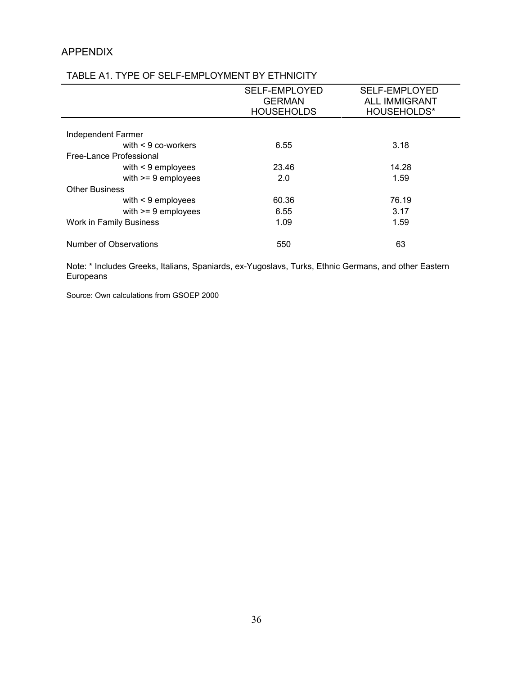### APPENDIX

|                          | SELF-EMPLOYED<br><b>GERMAN</b> | SELF-EMPLOYED<br><b>ALL IMMIGRANT</b> |
|--------------------------|--------------------------------|---------------------------------------|
|                          | <b>HOUSEHOLDS</b>              | HOUSEHOLDS*                           |
| Independent Farmer       |                                |                                       |
| with $\leq 9$ co-workers | 6.55                           | 3.18                                  |
| Free-Lance Professional  |                                |                                       |
| with $\leq 9$ employees  | 23.46                          | 14.28                                 |
| with $>= 9$ employees    | 2.0                            | 1.59                                  |
| <b>Other Business</b>    |                                |                                       |
| with $\leq 9$ employees  | 60.36                          | 76.19                                 |
| with $>= 9$ employees    | 6.55                           | 3.17                                  |
| Work in Family Business  | 1.09                           | 1.59                                  |
| Number of Observations   | 550                            | 63                                    |

### TABLE A1. TYPE OF SELF-EMPLOYMENT BY ETHNICITY

Note: \* Includes Greeks, Italians, Spaniards, ex-Yugoslavs, Turks, Ethnic Germans, and other Eastern Europeans

Source: Own calculations from GSOEP 2000